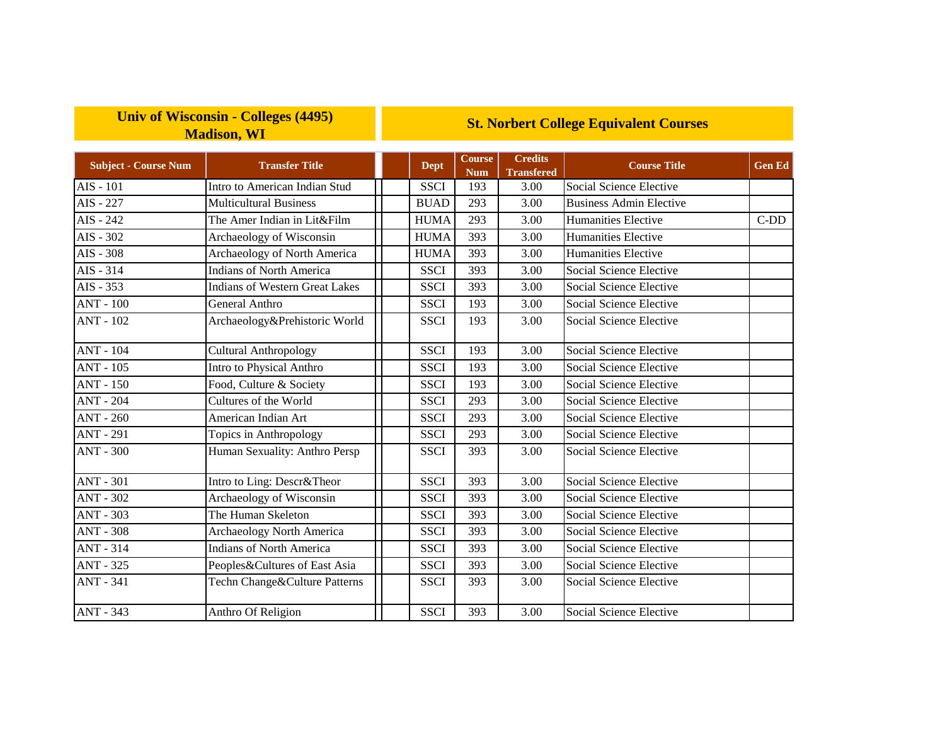## **Univ of Wisconsin - Colleges (4495) Madison, WI**

## **St. Norbert College Equivalent Courses**

| <b>Subject - Course Num</b> | <b>Transfer Title</b>                 | <b>Dept</b> | Course<br><b>Num</b> | <b>Credits</b><br><b>Transfered</b> | <b>Course Title</b>            | <b>Gen Ed</b> |
|-----------------------------|---------------------------------------|-------------|----------------------|-------------------------------------|--------------------------------|---------------|
| AIS - 101                   | Intro to American Indian Stud         | <b>SSCI</b> | 193                  | 3.00                                | Social Science Elective        |               |
| AIS - 227                   | <b>Multicultural Business</b>         | <b>BUAD</b> | 293                  | 3.00                                | <b>Business Admin Elective</b> |               |
| AIS - 242                   | The Amer Indian in Lit&Film           | <b>HUMA</b> | 293                  | 3.00                                | <b>Humanities Elective</b>     | $C-DD$        |
| AIS - 302                   | Archaeology of Wisconsin              | <b>HUMA</b> | 393                  | 3.00                                | Humanities Elective            |               |
| AIS - 308                   | Archaeology of North America          | <b>HUMA</b> | 393                  | 3.00                                | Humanities Elective            |               |
| AIS - 314                   | <b>Indians of North America</b>       | <b>SSCI</b> | 393                  | 3.00                                | Social Science Elective        |               |
| AIS - 353                   | <b>Indians of Western Great Lakes</b> | <b>SSCI</b> | 393                  | 3.00                                | Social Science Elective        |               |
| <b>ANT - 100</b>            | General Anthro                        | <b>SSCI</b> | 193                  | 3.00                                | Social Science Elective        |               |
| <b>ANT - 102</b>            | Archaeology&Prehistoric World         | <b>SSCI</b> | 193                  | 3.00                                | Social Science Elective        |               |
| $ANT - 104$                 | Cultural Anthropology                 | <b>SSCI</b> | 193                  | 3.00                                | <b>Social Science Elective</b> |               |
| <b>ANT - 105</b>            | Intro to Physical Anthro              | <b>SSCI</b> | 193                  | 3.00                                | Social Science Elective        |               |
| <b>ANT - 150</b>            | Food, Culture & Society               | <b>SSCI</b> | 193                  | 3.00                                | Social Science Elective        |               |
| <b>ANT - 204</b>            | Cultures of the World                 | <b>SSCI</b> | 293                  | 3.00                                | Social Science Elective        |               |
| <b>ANT - 260</b>            | American Indian Art                   | <b>SSCI</b> | 293                  | 3.00                                | Social Science Elective        |               |
| <b>ANT - 291</b>            | Topics in Anthropology                | <b>SSCI</b> | 293                  | 3.00                                | Social Science Elective        |               |
| <b>ANT - 300</b>            | Human Sexuality: Anthro Persp         | <b>SSCI</b> | 393                  | 3.00                                | Social Science Elective        |               |
| <b>ANT - 301</b>            | Intro to Ling: Descr&Theor            | <b>SSCI</b> | 393                  | 3.00                                | Social Science Elective        |               |
| <b>ANT - 302</b>            | Archaeology of Wisconsin              | <b>SSCI</b> | 393                  | 3.00                                | Social Science Elective        |               |
| <b>ANT - 303</b>            | The Human Skeleton                    | <b>SSCI</b> | 393                  | 3.00                                | Social Science Elective        |               |
| <b>ANT - 308</b>            | <b>Archaeology North America</b>      | <b>SSCI</b> | 393                  | 3.00                                | Social Science Elective        |               |
| <b>ANT - 314</b>            | <b>Indians of North America</b>       | <b>SSCI</b> | 393                  | 3.00                                | Social Science Elective        |               |
| ANT - 325                   | Peoples&Cultures of East Asia         | <b>SSCI</b> | 393                  | 3.00                                | Social Science Elective        |               |
| <b>ANT - 341</b>            | Techn Change&Culture Patterns         | <b>SSCI</b> | 393                  | 3.00                                | Social Science Elective        |               |
| ANT - 343                   | Anthro Of Religion                    | <b>SSCI</b> | 393                  | 3.00                                | Social Science Elective        |               |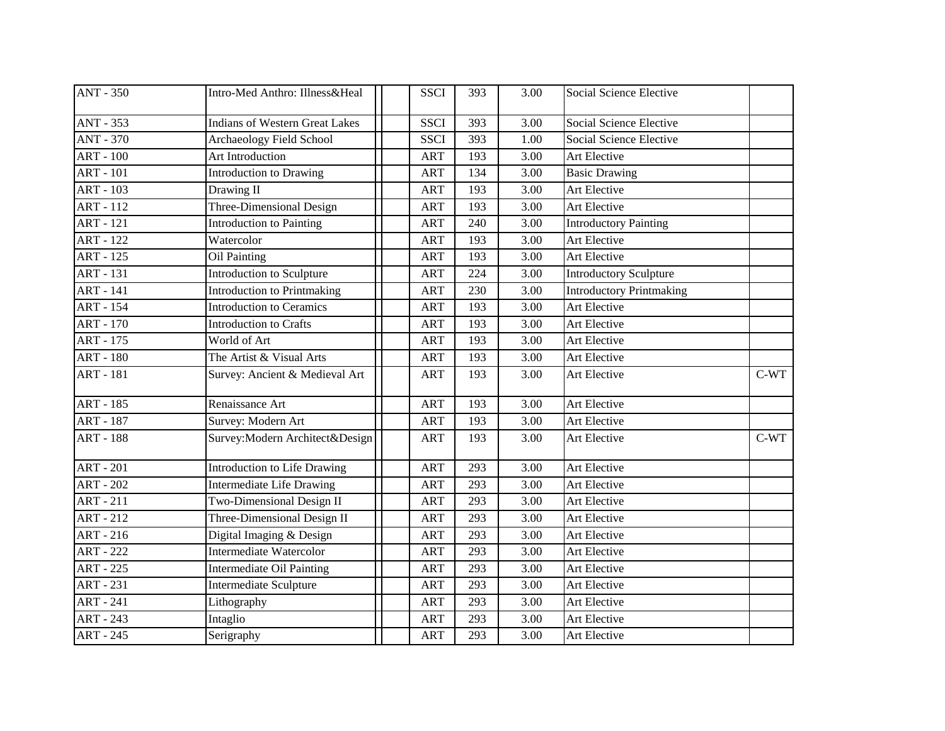| <b>ANT - 350</b> | Intro-Med Anthro: Illness&Heal        | <b>SSCI</b> | 393 | 3.00              | Social Science Elective         |        |
|------------------|---------------------------------------|-------------|-----|-------------------|---------------------------------|--------|
| <b>ANT - 353</b> | <b>Indians of Western Great Lakes</b> | <b>SSCI</b> | 393 | 3.00              | <b>Social Science Elective</b>  |        |
| <b>ANT - 370</b> | Archaeology Field School              | <b>SSCI</b> | 393 | 1.00              | <b>Social Science Elective</b>  |        |
| $ART - 100$      | Art Introduction                      | <b>ART</b>  | 193 | 3.00              | Art Elective                    |        |
| <b>ART - 101</b> | <b>Introduction to Drawing</b>        | <b>ART</b>  | 134 | 3.00              | <b>Basic Drawing</b>            |        |
| <b>ART - 103</b> | Drawing II                            | <b>ART</b>  | 193 | 3.00              | Art Elective                    |        |
| <b>ART - 112</b> | Three-Dimensional Design              | <b>ART</b>  | 193 | 3.00              | Art Elective                    |        |
| <b>ART</b> - 121 | Introduction to Painting              | <b>ART</b>  | 240 | 3.00              | <b>Introductory Painting</b>    |        |
| <b>ART - 122</b> | Watercolor                            | <b>ART</b>  | 193 | 3.00              | <b>Art Elective</b>             |        |
| <b>ART - 125</b> | Oil Painting                          | <b>ART</b>  | 193 | 3.00              | Art Elective                    |        |
| <b>ART - 131</b> | Introduction to Sculpture             | <b>ART</b>  | 224 | 3.00              | <b>Introductory Sculpture</b>   |        |
| <b>ART</b> - 141 | <b>Introduction to Printmaking</b>    | <b>ART</b>  | 230 | 3.00              | <b>Introductory Printmaking</b> |        |
| <b>ART - 154</b> | <b>Introduction to Ceramics</b>       | <b>ART</b>  | 193 | 3.00              | Art Elective                    |        |
| <b>ART - 170</b> | <b>Introduction to Crafts</b>         | <b>ART</b>  | 193 | 3.00              | Art Elective                    |        |
| ART - 175        | World of Art                          | <b>ART</b>  | 193 | 3.00              | Art Elective                    |        |
| <b>ART - 180</b> | The Artist & Visual Arts              | <b>ART</b>  | 193 | 3.00              | Art Elective                    |        |
| <b>ART - 181</b> | Survey: Ancient & Medieval Art        | <b>ART</b>  | 193 | 3.00              | Art Elective                    | $C-WT$ |
| <b>ART - 185</b> | Renaissance Art                       | <b>ART</b>  | 193 | 3.00              | Art Elective                    |        |
| <b>ART - 187</b> | Survey: Modern Art                    | <b>ART</b>  | 193 | 3.00              | Art Elective                    |        |
| <b>ART - 188</b> | Survey: Modern Architect& Design      | <b>ART</b>  | 193 | 3.00              | Art Elective                    | $C-WT$ |
| $ART - 201$      | Introduction to Life Drawing          | <b>ART</b>  | 293 | 3.00              | Art Elective                    |        |
| <b>ART - 202</b> | <b>Intermediate Life Drawing</b>      | <b>ART</b>  | 293 | 3.00              | Art Elective                    |        |
| $ART - 211$      | Two-Dimensional Design II             | <b>ART</b>  | 293 | 3.00              | Art Elective                    |        |
| <b>ART - 212</b> | Three-Dimensional Design II           | <b>ART</b>  | 293 | 3.00              | Art Elective                    |        |
| $ART - 216$      | Digital Imaging & Design              | <b>ART</b>  | 293 | 3.00              | Art Elective                    |        |
| <b>ART - 222</b> | Intermediate Watercolor               | <b>ART</b>  | 293 | 3.00              | Art Elective                    |        |
| <b>ART - 225</b> | Intermediate Oil Painting             | <b>ART</b>  | 293 | 3.00              | Art Elective                    |        |
| <b>ART - 231</b> | <b>Intermediate Sculpture</b>         | <b>ART</b>  | 293 | $\overline{3.00}$ | Art Elective                    |        |
| <b>ART - 241</b> | Lithography                           | <b>ART</b>  | 293 | 3.00              | Art Elective                    |        |
| $ART - 243$      | Intaglio                              | <b>ART</b>  | 293 | 3.00              | Art Elective                    |        |
| <b>ART - 245</b> | Serigraphy                            | <b>ART</b>  | 293 | 3.00              | Art Elective                    |        |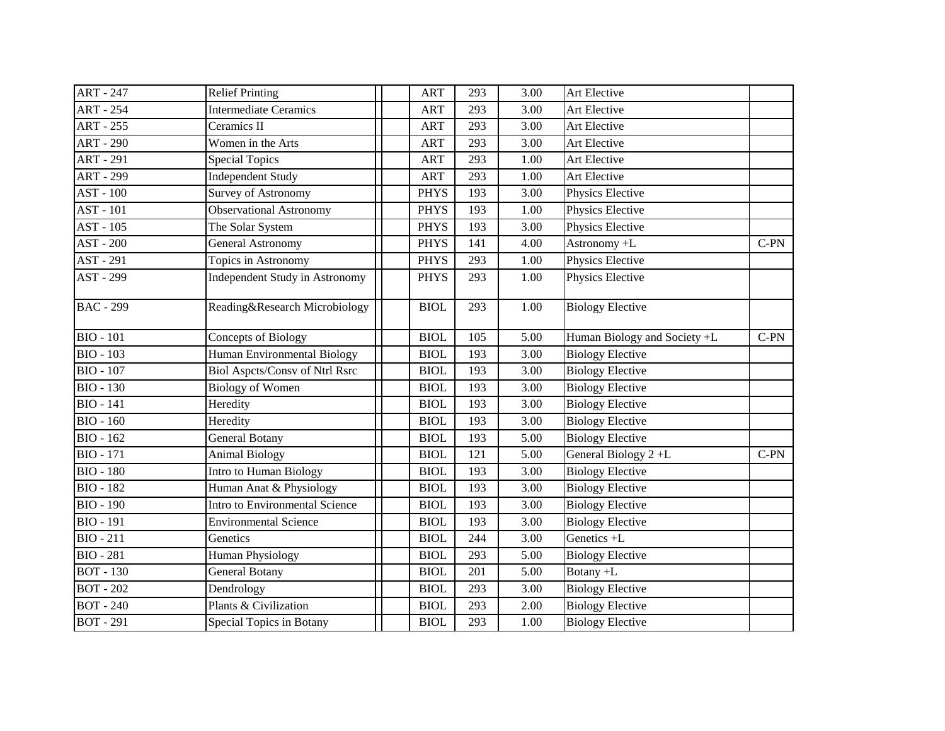| <b>ART - 247</b> | <b>Relief Printing</b>                | <b>ART</b>  | 293 | 3.00 | Art Elective                 |        |
|------------------|---------------------------------------|-------------|-----|------|------------------------------|--------|
| <b>ART - 254</b> | <b>Intermediate Ceramics</b>          | <b>ART</b>  | 293 | 3.00 | Art Elective                 |        |
| <b>ART - 255</b> | Ceramics II                           | <b>ART</b>  | 293 | 3.00 | Art Elective                 |        |
| <b>ART - 290</b> | Women in the Arts                     | <b>ART</b>  | 293 | 3.00 | Art Elective                 |        |
| <b>ART - 291</b> | <b>Special Topics</b>                 | <b>ART</b>  | 293 | 1.00 | Art Elective                 |        |
| <b>ART - 299</b> | <b>Independent Study</b>              | <b>ART</b>  | 293 | 1.00 | Art Elective                 |        |
| <b>AST - 100</b> | Survey of Astronomy                   | <b>PHYS</b> | 193 | 3.00 | Physics Elective             |        |
| AST - 101        | Observational Astronomy               | <b>PHYS</b> | 193 | 1.00 | Physics Elective             |        |
| AST - 105        | The Solar System                      | <b>PHYS</b> | 193 | 3.00 | Physics Elective             |        |
| AST - 200        | <b>General Astronomy</b>              | <b>PHYS</b> | 141 | 4.00 | Astronomy +L                 | $C-PN$ |
| AST - 291        | Topics in Astronomy                   | <b>PHYS</b> | 293 | 1.00 | Physics Elective             |        |
| AST - 299        | Independent Study in Astronomy        | <b>PHYS</b> | 293 | 1.00 | Physics Elective             |        |
| <b>BAC</b> - 299 | Reading&Research Microbiology         | <b>BIOL</b> | 293 | 1.00 | <b>Biology Elective</b>      |        |
| <b>BIO - 101</b> | Concepts of Biology                   | <b>BIOL</b> | 105 | 5.00 | Human Biology and Society +L | $C-PN$ |
| <b>BIO - 103</b> | Human Environmental Biology           | <b>BIOL</b> | 193 | 3.00 | <b>Biology Elective</b>      |        |
| <b>BIO - 107</b> | <b>Biol Aspets/Consv of Ntrl Rsrc</b> | <b>BIOL</b> | 193 | 3.00 | <b>Biology Elective</b>      |        |
| <b>BIO - 130</b> | <b>Biology of Women</b>               | <b>BIOL</b> | 193 | 3.00 | <b>Biology Elective</b>      |        |
| <b>BIO</b> - 141 | Heredity                              | <b>BIOL</b> | 193 | 3.00 | <b>Biology Elective</b>      |        |
| $BIO - 160$      | Heredity                              | <b>BIOL</b> | 193 | 3.00 | <b>Biology Elective</b>      |        |
| <b>BIO - 162</b> | <b>General Botany</b>                 | <b>BIOL</b> | 193 | 5.00 | <b>Biology Elective</b>      |        |
| <b>BIO</b> - 171 | <b>Animal Biology</b>                 | <b>BIOL</b> | 121 | 5.00 | General Biology 2+L          | $C-PN$ |
| <b>BIO - 180</b> | Intro to Human Biology                | <b>BIOL</b> | 193 | 3.00 | <b>Biology Elective</b>      |        |
| <b>BIO - 182</b> | Human Anat & Physiology               | <b>BIOL</b> | 193 | 3.00 | <b>Biology Elective</b>      |        |
| <b>BIO - 190</b> | Intro to Environmental Science        | <b>BIOL</b> | 193 | 3.00 | <b>Biology Elective</b>      |        |
| <b>BIO - 191</b> | <b>Environmental Science</b>          | <b>BIOL</b> | 193 | 3.00 | <b>Biology Elective</b>      |        |
| <b>BIO</b> - 211 | Genetics                              | <b>BIOL</b> | 244 | 3.00 | Genetics +L                  |        |
| <b>BIO - 281</b> | <b>Human Physiology</b>               | <b>BIOL</b> | 293 | 5.00 | <b>Biology Elective</b>      |        |
| <b>BOT</b> - 130 | <b>General Botany</b>                 | <b>BIOL</b> | 201 | 5.00 | Botany +L                    |        |
| <b>BOT - 202</b> | Dendrology                            | <b>BIOL</b> | 293 | 3.00 | <b>Biology Elective</b>      |        |
| <b>BOT - 240</b> | Plants & Civilization                 | <b>BIOL</b> | 293 | 2.00 | <b>Biology Elective</b>      |        |
| <b>BOT</b> - 291 | Special Topics in Botany              | <b>BIOL</b> | 293 | 1.00 | <b>Biology Elective</b>      |        |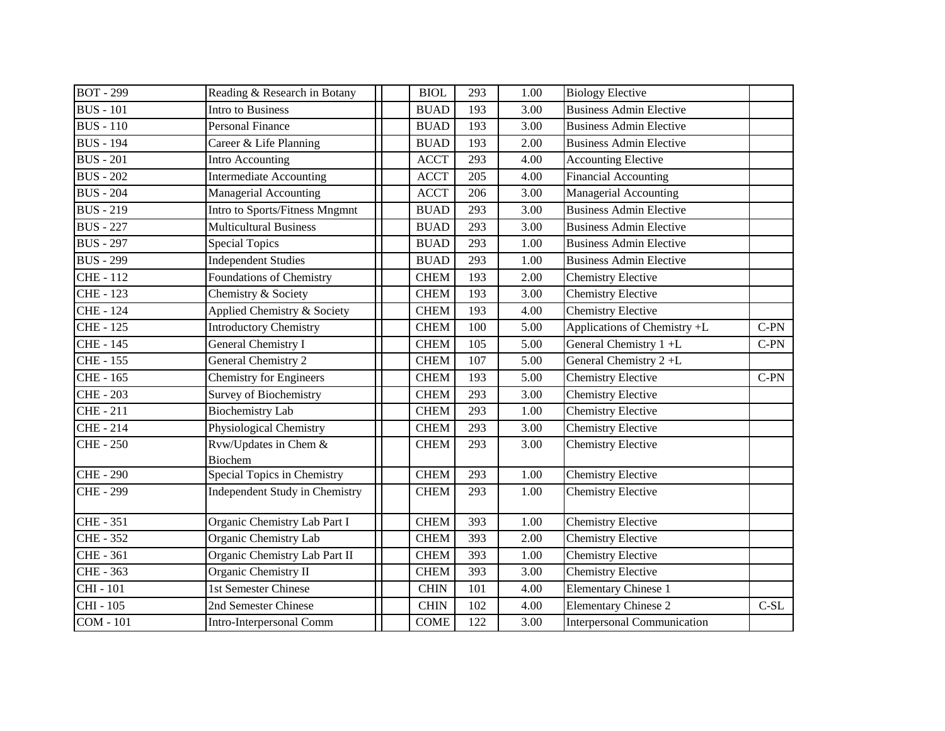| <b>BOT - 299</b> | Reading & Research in Botany            | <b>BIOL</b> | 293 | 1.00 | <b>Biology Elective</b>            |        |
|------------------|-----------------------------------------|-------------|-----|------|------------------------------------|--------|
| <b>BUS</b> - 101 | Intro to Business                       | <b>BUAD</b> | 193 | 3.00 | <b>Business Admin Elective</b>     |        |
| <b>BUS</b> - 110 | <b>Personal Finance</b>                 | <b>BUAD</b> | 193 | 3.00 | <b>Business Admin Elective</b>     |        |
| <b>BUS</b> - 194 | Career & Life Planning                  | <b>BUAD</b> | 193 | 2.00 | <b>Business Admin Elective</b>     |        |
| <b>BUS</b> - 201 | Intro Accounting                        | <b>ACCT</b> | 293 | 4.00 | <b>Accounting Elective</b>         |        |
| <b>BUS</b> - 202 | <b>Intermediate Accounting</b>          | <b>ACCT</b> | 205 | 4.00 | Financial Accounting               |        |
| <b>BUS</b> - 204 | Managerial Accounting                   | <b>ACCT</b> | 206 | 3.00 | <b>Managerial Accounting</b>       |        |
| <b>BUS</b> - 219 | Intro to Sports/Fitness Mngmnt          | <b>BUAD</b> | 293 | 3.00 | <b>Business Admin Elective</b>     |        |
| <b>BUS</b> - 227 | <b>Multicultural Business</b>           | <b>BUAD</b> | 293 | 3.00 | <b>Business Admin Elective</b>     |        |
| <b>BUS</b> - 297 | <b>Special Topics</b>                   | <b>BUAD</b> | 293 | 1.00 | <b>Business Admin Elective</b>     |        |
| <b>BUS - 299</b> | <b>Independent Studies</b>              | <b>BUAD</b> | 293 | 1.00 | <b>Business Admin Elective</b>     |        |
| <b>CHE-112</b>   | <b>Foundations of Chemistry</b>         | <b>CHEM</b> | 193 | 2.00 | <b>Chemistry Elective</b>          |        |
| <b>CHE - 123</b> | Chemistry & Society                     | <b>CHEM</b> | 193 | 3.00 | <b>Chemistry Elective</b>          |        |
| <b>CHE - 124</b> | Applied Chemistry & Society             | <b>CHEM</b> | 193 | 4.00 | <b>Chemistry Elective</b>          |        |
| <b>CHE - 125</b> | <b>Introductory Chemistry</b>           | <b>CHEM</b> | 100 | 5.00 | Applications of Chemistry +L       | $C-PN$ |
| <b>CHE - 145</b> | General Chemistry I                     | <b>CHEM</b> | 105 | 5.00 | General Chemistry 1+L              | $C-PN$ |
| <b>CHE - 155</b> | General Chemistry 2                     | <b>CHEM</b> | 107 | 5.00 | General Chemistry 2+L              |        |
| <b>CHE - 165</b> | <b>Chemistry for Engineers</b>          | <b>CHEM</b> | 193 | 5.00 | <b>Chemistry Elective</b>          | $C-PN$ |
| <b>CHE - 203</b> | <b>Survey of Biochemistry</b>           | <b>CHEM</b> | 293 | 3.00 | <b>Chemistry Elective</b>          |        |
| $CHE - 211$      | <b>Biochemistry Lab</b>                 | <b>CHEM</b> | 293 | 1.00 | <b>Chemistry Elective</b>          |        |
| <b>CHE-214</b>   | Physiological Chemistry                 | <b>CHEM</b> | 293 | 3.00 | <b>Chemistry Elective</b>          |        |
| <b>CHE-250</b>   | Rvw/Updates in Chem &<br><b>Biochem</b> | <b>CHEM</b> | 293 | 3.00 | <b>Chemistry Elective</b>          |        |
| <b>CHE - 290</b> | Special Topics in Chemistry             | <b>CHEM</b> | 293 | 1.00 | <b>Chemistry Elective</b>          |        |
| <b>CHE - 299</b> | <b>Independent Study in Chemistry</b>   | <b>CHEM</b> | 293 | 1.00 | <b>Chemistry Elective</b>          |        |
| <b>CHE-351</b>   | Organic Chemistry Lab Part I            | <b>CHEM</b> | 393 | 1.00 | <b>Chemistry Elective</b>          |        |
| <b>CHE - 352</b> | Organic Chemistry Lab                   | <b>CHEM</b> | 393 | 2.00 | <b>Chemistry Elective</b>          |        |
| <b>CHE-361</b>   | Organic Chemistry Lab Part II           | <b>CHEM</b> | 393 | 1.00 | <b>Chemistry Elective</b>          |        |
| <b>CHE - 363</b> | Organic Chemistry II                    | <b>CHEM</b> | 393 | 3.00 | <b>Chemistry Elective</b>          |        |
| <b>CHI</b> - 101 | 1st Semester Chinese                    | <b>CHIN</b> | 101 | 4.00 | Elementary Chinese 1               |        |
| CHI - 105        | 2nd Semester Chinese                    | <b>CHIN</b> | 102 | 4.00 | <b>Elementary Chinese 2</b>        | $C-SL$ |
| <b>COM</b> - 101 | Intro-Interpersonal Comm                | <b>COME</b> | 122 | 3.00 | <b>Interpersonal Communication</b> |        |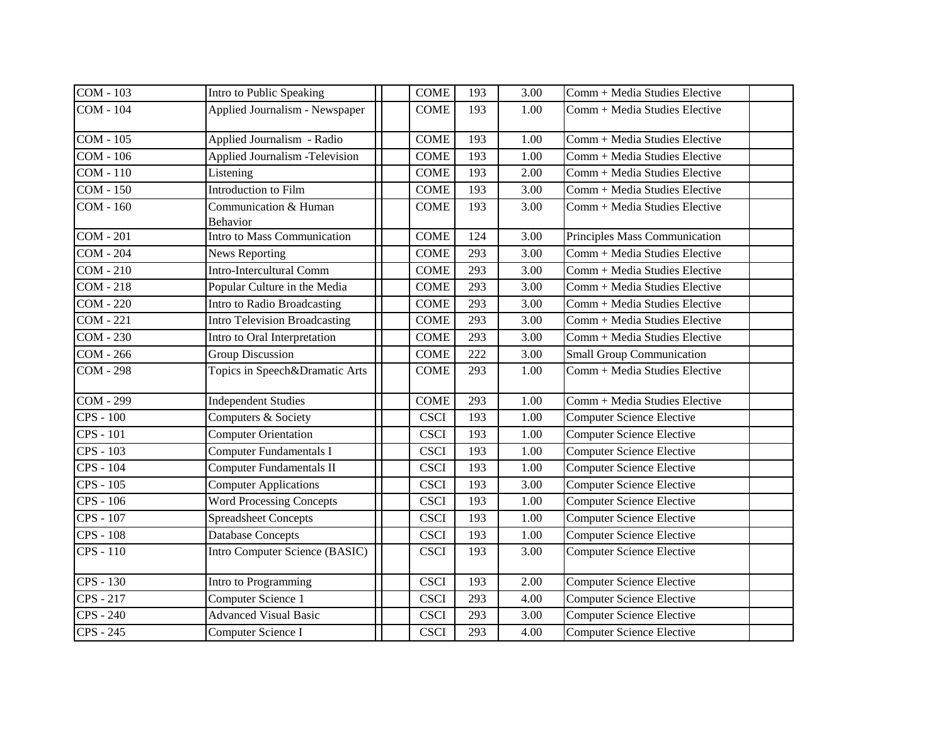| <b>COM - 103</b> | Intro to Public Speaking               | <b>COME</b> | 193 | 3.00 | Comm + Media Studies Elective    |
|------------------|----------------------------------------|-------------|-----|------|----------------------------------|
| <b>COM - 104</b> | Applied Journalism - Newspaper         | <b>COME</b> | 193 | 1.00 | Comm + Media Studies Elective    |
| <b>COM - 105</b> | Applied Journalism - Radio             | <b>COME</b> | 193 | 1.00 | Comm + Media Studies Elective    |
| $COM - 106$      | <b>Applied Journalism - Television</b> | <b>COME</b> | 193 | 1.00 | Comm + Media Studies Elective    |
| COM - 110        | Listening                              | <b>COME</b> | 193 | 2.00 | Comm + Media Studies Elective    |
| COM - 150        | Introduction to Film                   | <b>COME</b> | 193 | 3.00 | Comm + Media Studies Elective    |
| COM - 160        | Communication & Human<br>Behavior      | <b>COME</b> | 193 | 3.00 | Comm + Media Studies Elective    |
| $COM - 201$      | Intro to Mass Communication            | <b>COME</b> | 124 | 3.00 | Principles Mass Communication    |
| <b>COM - 204</b> | News Reporting                         | <b>COME</b> | 293 | 3.00 | Comm + Media Studies Elective    |
| $COM - 210$      | Intro-Intercultural Comm               | <b>COME</b> | 293 | 3.00 | Comm + Media Studies Elective    |
| <b>COM - 218</b> | Popular Culture in the Media           | <b>COME</b> | 293 | 3.00 | Comm + Media Studies Elective    |
| $COM - 220$      | Intro to Radio Broadcasting            | <b>COME</b> | 293 | 3.00 | Comm + Media Studies Elective    |
| <b>COM - 221</b> | <b>Intro Television Broadcasting</b>   | <b>COME</b> | 293 | 3.00 | Comm + Media Studies Elective    |
| $COM - 230$      | Intro to Oral Interpretation           | <b>COME</b> | 293 | 3.00 | Comm + Media Studies Elective    |
| COM - 266        | <b>Group Discussion</b>                | <b>COME</b> | 222 | 3.00 | <b>Small Group Communication</b> |
| $COM - 298$      | Topics in Speech&Dramatic Arts         | <b>COME</b> | 293 | 1.00 | Comm + Media Studies Elective    |
| COM - 299        | <b>Independent Studies</b>             | <b>COME</b> | 293 | 1.00 | Comm + Media Studies Elective    |
| $CPS - 100$      | Computers & Society                    | <b>CSCI</b> | 193 | 1.00 | <b>Computer Science Elective</b> |
| $CPS - 101$      | <b>Computer Orientation</b>            | <b>CSCI</b> | 193 | 1.00 | <b>Computer Science Elective</b> |
| CPS - 103        | <b>Computer Fundamentals I</b>         | <b>CSCI</b> | 193 | 1.00 | <b>Computer Science Elective</b> |
| <b>CPS</b> - 104 | <b>Computer Fundamentals II</b>        | <b>CSCI</b> | 193 | 1.00 | <b>Computer Science Elective</b> |
| <b>CPS - 105</b> | <b>Computer Applications</b>           | <b>CSCI</b> | 193 | 3.00 | <b>Computer Science Elective</b> |
| CPS - 106        | <b>Word Processing Concepts</b>        | <b>CSCI</b> | 193 | 1.00 | <b>Computer Science Elective</b> |
| CPS - 107        | <b>Spreadsheet Concepts</b>            | <b>CSCI</b> | 193 | 1.00 | <b>Computer Science Elective</b> |
| <b>CPS - 108</b> | Database Concepts                      | <b>CSCI</b> | 193 | 1.00 | <b>Computer Science Elective</b> |
| CPS - 110        | Intro Computer Science (BASIC)         | <b>CSCI</b> | 193 | 3.00 | <b>Computer Science Elective</b> |
| CPS - 130        | Intro to Programming                   | <b>CSCI</b> | 193 | 2.00 | <b>Computer Science Elective</b> |
| CPS - 217        | Computer Science 1                     | <b>CSCI</b> | 293 | 4.00 | <b>Computer Science Elective</b> |
| <b>CPS</b> - 240 | <b>Advanced Visual Basic</b>           | <b>CSCI</b> | 293 | 3.00 | <b>Computer Science Elective</b> |
| CPS - 245        | Computer Science I                     | <b>CSCI</b> | 293 | 4.00 | <b>Computer Science Elective</b> |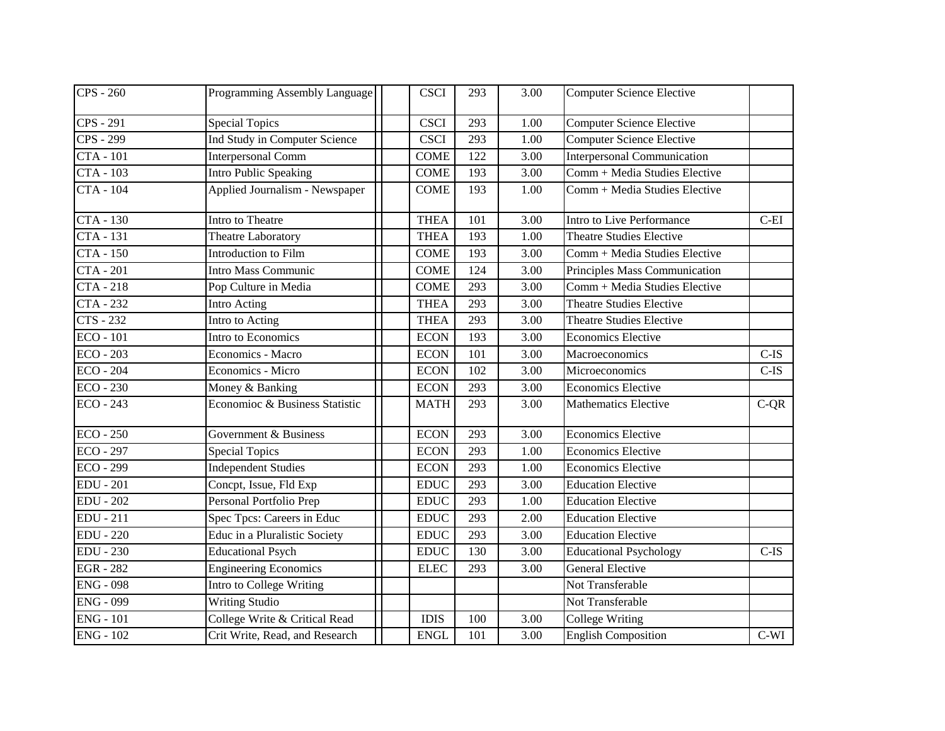| <b>CPS</b> - 260       | Programming Assembly Language  | <b>CSCI</b>                  | 293 | 3.00 | <b>Computer Science Elective</b>   |         |
|------------------------|--------------------------------|------------------------------|-----|------|------------------------------------|---------|
| CPS - 291              | <b>Special Topics</b>          | <b>CSCI</b>                  | 293 | 1.00 | <b>Computer Science Elective</b>   |         |
| $\overline{CPS}$ - 299 | Ind Study in Computer Science  | <b>CSCI</b>                  | 293 | 1.00 | <b>Computer Science Elective</b>   |         |
| <b>CTA - 101</b>       | Interpersonal Comm             | <b>COME</b>                  | 122 | 3.00 | <b>Interpersonal Communication</b> |         |
| <b>CTA - 103</b>       | Intro Public Speaking          | <b>COME</b>                  | 193 | 3.00 | Comm + Media Studies Elective      |         |
| <b>CTA - 104</b>       | Applied Journalism - Newspaper | <b>COME</b>                  | 193 | 1.00 | Comm + Media Studies Elective      |         |
| $CTA - 130$            | Intro to Theatre               | <b>THEA</b>                  | 101 | 3.00 | Intro to Live Performance          | $C-EI$  |
| <b>CTA</b> - 131       | Theatre Laboratory             | <b>THEA</b>                  | 193 | 1.00 | <b>Theatre Studies Elective</b>    |         |
| <b>CTA - 150</b>       | Introduction to Film           | <b>COME</b>                  | 193 | 3.00 | Comm + Media Studies Elective      |         |
| <b>CTA - 201</b>       | Intro Mass Communic            | <b>COME</b>                  | 124 | 3.00 | Principles Mass Communication      |         |
| <b>CTA</b> - 218       | Pop Culture in Media           | <b>COME</b>                  | 293 | 3.00 | Comm + Media Studies Elective      |         |
| $CTA - 232$            | Intro Acting                   | <b>THEA</b>                  | 293 | 3.00 | <b>Theatre Studies Elective</b>    |         |
| $\overline{CTS-232}$   | Intro to Acting                | <b>THEA</b>                  | 293 | 3.00 | <b>Theatre Studies Elective</b>    |         |
| $ECO - 101$            | Intro to Economics             | <b>ECON</b>                  | 193 | 3.00 | <b>Economics Elective</b>          |         |
| $ECO - 203$            | Economics - Macro              | <b>ECON</b>                  | 101 | 3.00 | Macroeconomics                     | $C$ -IS |
| $ECO - 204$            | Economics - Micro              | <b>ECON</b>                  | 102 | 3.00 | Microeconomics                     | $C$ -IS |
| $ECO - 230$            | Money & Banking                | <b>ECON</b>                  | 293 | 3.00 | <b>Economics Elective</b>          |         |
| <b>ECO - 243</b>       | Economioc & Business Statistic | <b>MATH</b>                  | 293 | 3.00 | <b>Mathematics Elective</b>        | $C-QR$  |
| $ECO - 250$            | Government & Business          | <b>ECON</b>                  | 293 | 3.00 | <b>Economics Elective</b>          |         |
| <b>ECO - 297</b>       | <b>Special Topics</b>          | <b>ECON</b>                  | 293 | 1.00 | <b>Economics Elective</b>          |         |
| $ECO - 299$            | <b>Independent Studies</b>     | <b>ECON</b>                  | 293 | 1.00 | <b>Economics Elective</b>          |         |
| <b>EDU - 201</b>       | Concpt, Issue, Fld Exp         | <b>EDUC</b>                  | 293 | 3.00 | <b>Education Elective</b>          |         |
| <b>EDU - 202</b>       | Personal Portfolio Prep        | <b>EDUC</b>                  | 293 | 1.00 | <b>Education Elective</b>          |         |
| <b>EDU</b> - 211       | Spec Tpcs: Careers in Educ     | <b>EDUC</b>                  | 293 | 2.00 | <b>Education Elective</b>          |         |
| <b>EDU - 220</b>       | Educ in a Pluralistic Society  | <b>EDUC</b>                  | 293 | 3.00 | <b>Education Elective</b>          |         |
| <b>EDU - 230</b>       | <b>Educational Psych</b>       | $\mathop{\rm EDUC}\nolimits$ | 130 | 3.00 | <b>Educational Psychology</b>      | $C$ -IS |
| <b>EGR - 282</b>       | <b>Engineering Economics</b>   | <b>ELEC</b>                  | 293 | 3.00 | <b>General Elective</b>            |         |
| <b>ENG - 098</b>       | Intro to College Writing       |                              |     |      | Not Transferable                   |         |
| <b>ENG - 099</b>       | <b>Writing Studio</b>          |                              |     |      | Not Transferable                   |         |
| $ENG - 101$            | College Write & Critical Read  | <b>IDIS</b>                  | 100 | 3.00 | <b>College Writing</b>             |         |
| <b>ENG - 102</b>       | Crit Write, Read, and Research | <b>ENGL</b>                  | 101 | 3.00 | <b>English Composition</b>         | $C-WI$  |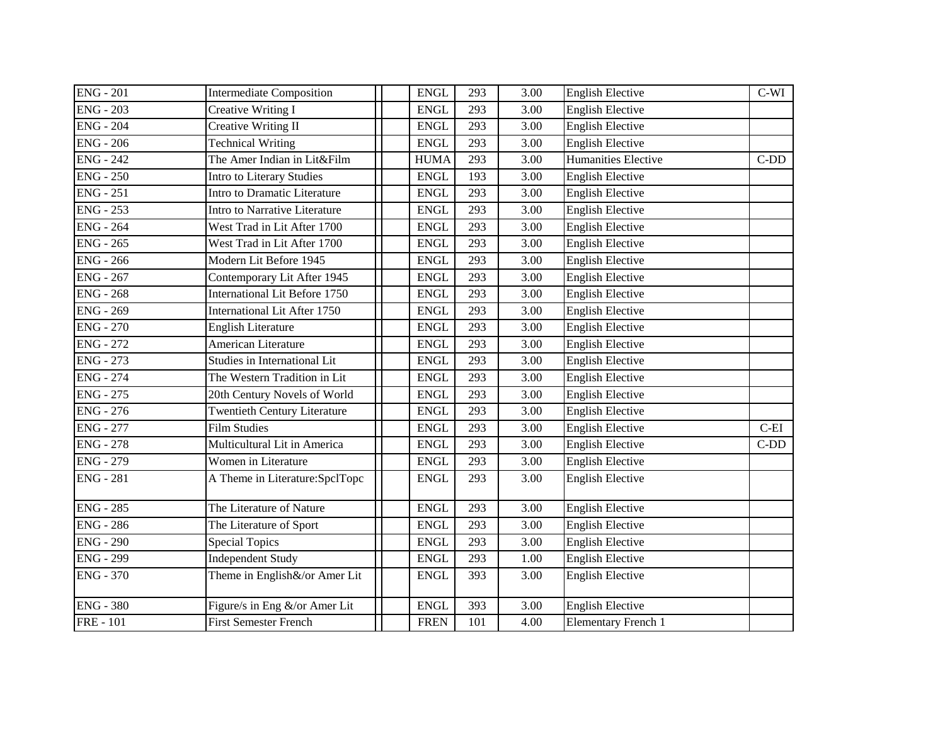| <b>ENG - 201</b> | <b>Intermediate Composition</b>      | <b>ENGL</b> | 293 | 3.00              | <b>English Elective</b>    | $C-WI$ |
|------------------|--------------------------------------|-------------|-----|-------------------|----------------------------|--------|
| <b>ENG - 203</b> | <b>Creative Writing I</b>            | <b>ENGL</b> | 293 | 3.00              | <b>English Elective</b>    |        |
| <b>ENG - 204</b> | <b>Creative Writing II</b>           | <b>ENGL</b> | 293 | 3.00              | <b>English Elective</b>    |        |
| $ENG - 206$      | <b>Technical Writing</b>             | <b>ENGL</b> | 293 | 3.00              | <b>English Elective</b>    |        |
| <b>ENG - 242</b> | The Amer Indian in Lit&Film          | <b>HUMA</b> | 293 | 3.00              | Humanities Elective        | $C-DD$ |
| $ENG - 250$      | Intro to Literary Studies            | <b>ENGL</b> | 193 | $\overline{3.00}$ | <b>English Elective</b>    |        |
| <b>ENG - 251</b> | Intro to Dramatic Literature         | <b>ENGL</b> | 293 | 3.00              | <b>English Elective</b>    |        |
| <b>ENG - 253</b> | Intro to Narrative Literature        | <b>ENGL</b> | 293 | 3.00              | <b>English Elective</b>    |        |
| <b>ENG - 264</b> | West Trad in Lit After 1700          | <b>ENGL</b> | 293 | 3.00              | <b>English Elective</b>    |        |
| <b>ENG - 265</b> | West Trad in Lit After 1700          | <b>ENGL</b> | 293 | 3.00              | <b>English Elective</b>    |        |
| <b>ENG - 266</b> | Modern Lit Before 1945               | <b>ENGL</b> | 293 | 3.00              | <b>English Elective</b>    |        |
| <b>ENG - 267</b> | Contemporary Lit After 1945          | <b>ENGL</b> | 293 | 3.00              | <b>English Elective</b>    |        |
| $ENG - 268$      | <b>International Lit Before 1750</b> | <b>ENGL</b> | 293 | $\overline{3.00}$ | <b>English Elective</b>    |        |
| <b>ENG - 269</b> | <b>International Lit After 1750</b>  | <b>ENGL</b> | 293 | 3.00              | <b>English Elective</b>    |        |
| <b>ENG - 270</b> | <b>English Literature</b>            | <b>ENGL</b> | 293 | 3.00              | <b>English Elective</b>    |        |
| <b>ENG - 272</b> | American Literature                  | <b>ENGL</b> | 293 | 3.00              | <b>English Elective</b>    |        |
| <b>ENG - 273</b> | Studies in International Lit         | <b>ENGL</b> | 293 | 3.00              | <b>English Elective</b>    |        |
| <b>ENG - 274</b> | The Western Tradition in Lit         | <b>ENGL</b> | 293 | 3.00              | <b>English Elective</b>    |        |
| <b>ENG - 275</b> | 20th Century Novels of World         | <b>ENGL</b> | 293 | 3.00              | <b>English Elective</b>    |        |
| <b>ENG - 276</b> | <b>Twentieth Century Literature</b>  | <b>ENGL</b> | 293 | 3.00              | <b>English Elective</b>    |        |
| <b>ENG - 277</b> | <b>Film Studies</b>                  | <b>ENGL</b> | 293 | 3.00              | <b>English Elective</b>    | $C-EI$ |
| <b>ENG - 278</b> | Multicultural Lit in America         | <b>ENGL</b> | 293 | 3.00              | <b>English Elective</b>    | $C-DD$ |
| <b>ENG - 279</b> | Women in Literature                  | <b>ENGL</b> | 293 | 3.00              | <b>English Elective</b>    |        |
| <b>ENG - 281</b> | A Theme in Literature:SpclTopc       | <b>ENGL</b> | 293 | 3.00              | <b>English Elective</b>    |        |
| <b>ENG - 285</b> | The Literature of Nature             | <b>ENGL</b> | 293 | 3.00              | <b>English Elective</b>    |        |
| <b>ENG - 286</b> | The Literature of Sport              | <b>ENGL</b> | 293 | 3.00              | <b>English Elective</b>    |        |
| <b>ENG - 290</b> | <b>Special Topics</b>                | <b>ENGL</b> | 293 | 3.00              | <b>English Elective</b>    |        |
| <b>ENG - 299</b> | Independent Study                    | <b>ENGL</b> | 293 | 1.00              | <b>English Elective</b>    |        |
| <b>ENG - 370</b> | Theme in English&/or Amer Lit        | <b>ENGL</b> | 393 | 3.00              | <b>English Elective</b>    |        |
| <b>ENG - 380</b> | Figure/s in Eng &/or Amer Lit        | <b>ENGL</b> | 393 | 3.00              | <b>English Elective</b>    |        |
| <b>FRE</b> - 101 | <b>First Semester French</b>         | <b>FREN</b> | 101 | 4.00              | <b>Elementary French 1</b> |        |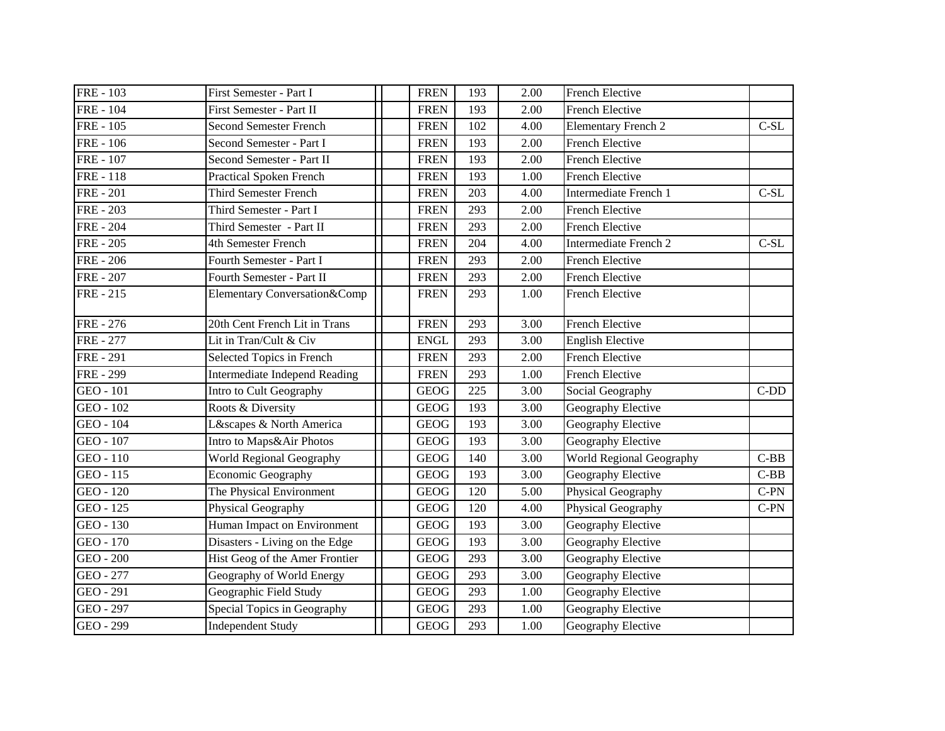| <b>FRE-103</b>   | First Semester - Part I              | <b>FREN</b>  | 193 | 2.00              | <b>French Elective</b>     |        |
|------------------|--------------------------------------|--------------|-----|-------------------|----------------------------|--------|
| <b>FRE</b> - 104 | First Semester - Part II             | <b>FREN</b>  | 193 | 2.00              | <b>French Elective</b>     |        |
| <b>FRE</b> - 105 | <b>Second Semester French</b>        | <b>FREN</b>  | 102 | 4.00              | <b>Elementary French 2</b> | $C-SL$ |
| <b>FRE</b> - 106 | Second Semester - Part I             | <b>FREN</b>  | 193 | 2.00              | French Elective            |        |
| <b>FRE</b> - 107 | Second Semester - Part II            | <b>FREN</b>  | 193 | 2.00              | French Elective            |        |
| <b>FRE-118</b>   | <b>Practical Spoken French</b>       | <b>FREN</b>  | 193 | 1.00              | French Elective            |        |
| <b>FRE</b> - 201 | <b>Third Semester French</b>         | <b>FREN</b>  | 203 | 4.00              | Intermediate French 1      | $C-SL$ |
| <b>FRE</b> - 203 | Third Semester - Part I              | <b>FREN</b>  | 293 | 2.00              | French Elective            |        |
| <b>FRE</b> - 204 | Third Semester - Part II             | <b>FREN</b>  | 293 | 2.00              | <b>French Elective</b>     |        |
| <b>FRE</b> - 205 | 4th Semester French                  | <b>FREN</b>  | 204 | 4.00              | Intermediate French 2      | $C-SL$ |
| <b>FRE</b> - 206 | Fourth Semester - Part I             | <b>FREN</b>  | 293 | 2.00              | <b>French Elective</b>     |        |
| <b>FRE</b> - 207 | Fourth Semester - Part II            | <b>FREN</b>  | 293 | 2.00              | <b>French Elective</b>     |        |
| <b>FRE-215</b>   | Elementary Conversation&Comp         | <b>FREN</b>  | 293 | 1.00              | <b>French Elective</b>     |        |
| <b>FRE</b> - 276 | 20th Cent French Lit in Trans        | <b>FREN</b>  | 293 | 3.00              | French Elective            |        |
| <b>FRE</b> - 277 | Lit in Tran/Cult & Civ               | <b>ENGL</b>  | 293 | 3.00              | <b>English Elective</b>    |        |
| <b>FRE</b> - 291 | Selected Topics in French            | <b>FREN</b>  | 293 | 2.00              | <b>French Elective</b>     |        |
| <b>FRE - 299</b> | <b>Intermediate Independ Reading</b> | <b>FREN</b>  | 293 | 1.00              | French Elective            |        |
| GEO - 101        | Intro to Cult Geography              | <b>GEOG</b>  | 225 | 3.00              | Social Geography           | $C-DD$ |
| GEO - 102        | Roots & Diversity                    | <b>GEOG</b>  | 193 | 3.00              | Geography Elective         |        |
| GEO - 104        | L&scapes & North America             | <b>GEOG</b>  | 193 | 3.00              | Geography Elective         |        |
| GEO - 107        | Intro to Maps&Air Photos             | <b>GEOG</b>  | 193 | 3.00              | Geography Elective         |        |
| GEO - 110        | World Regional Geography             | <b>GEOG</b>  | 140 | 3.00              | World Regional Geography   | $C-BB$ |
| GEO - 115        | Economic Geography                   | <b>GEOG</b>  | 193 | 3.00              | Geography Elective         | $C-BB$ |
| GEO - 120        | The Physical Environment             | ${\bf GEOG}$ | 120 | 5.00              | Physical Geography         | $C-PN$ |
| GEO - 125        | Physical Geography                   | <b>GEOG</b>  | 120 | 4.00              | Physical Geography         | $C-PN$ |
| GEO - 130        | Human Impact on Environment          | <b>GEOG</b>  | 193 | 3.00              | Geography Elective         |        |
| GEO - 170        | Disasters - Living on the Edge       | <b>GEOG</b>  | 193 | 3.00              | Geography Elective         |        |
| GEO - 200        | Hist Geog of the Amer Frontier       | <b>GEOG</b>  | 293 | 3.00              | Geography Elective         |        |
| GEO - 277        | Geography of World Energy            | <b>GEOG</b>  | 293 | $\overline{3.00}$ | Geography Elective         |        |
| GEO - 291        | Geographic Field Study               | <b>GEOG</b>  | 293 | 1.00              | Geography Elective         |        |
| GEO - 297        | Special Topics in Geography          | <b>GEOG</b>  | 293 | 1.00              | Geography Elective         |        |
| GEO - 299        | <b>Independent Study</b>             | <b>GEOG</b>  | 293 | 1.00              | Geography Elective         |        |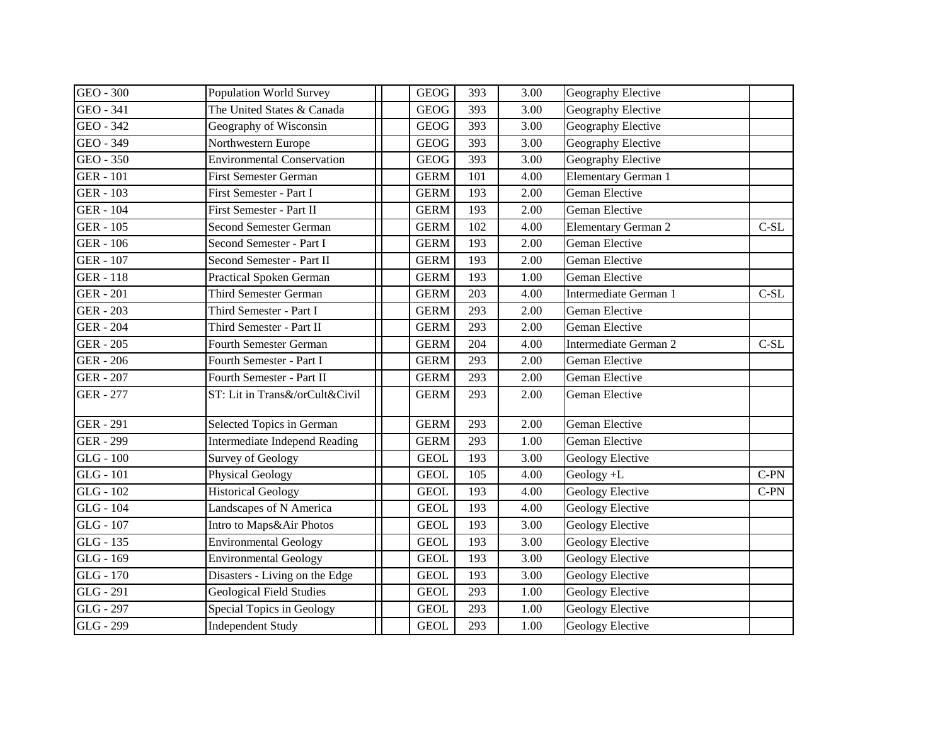| GEO - 300        | <b>Population World Survey</b>       | <b>GEOG</b> | 393 | 3.00              | Geography Elective         |        |
|------------------|--------------------------------------|-------------|-----|-------------------|----------------------------|--------|
| GEO - 341        | The United States & Canada           | <b>GEOG</b> | 393 | 3.00              | Geography Elective         |        |
| GEO - 342        | Geography of Wisconsin               | <b>GEOG</b> | 393 | 3.00              | Geography Elective         |        |
| GEO - 349        | Northwestern Europe                  | <b>GEOG</b> | 393 | 3.00              | Geography Elective         |        |
| GEO - 350        | <b>Environmental Conservation</b>    | <b>GEOG</b> | 393 | 3.00              | Geography Elective         |        |
| <b>GER - 101</b> | <b>First Semester German</b>         | <b>GERM</b> | 101 | 4.00              | <b>Elementary German 1</b> |        |
| <b>GER - 103</b> | First Semester - Part I              | <b>GERM</b> | 193 | 2.00              | Geman Elective             |        |
| <b>GER - 104</b> | First Semester - Part II             | <b>GERM</b> | 193 | 2.00              | Geman Elective             |        |
| <b>GER - 105</b> | Second Semester German               | <b>GERM</b> | 102 | 4.00              | <b>Elementary German 2</b> | $C-SL$ |
| <b>GER</b> - 106 | Second Semester - Part I             | <b>GERM</b> | 193 | 2.00              | Geman Elective             |        |
| <b>GER - 107</b> | Second Semester - Part II            | <b>GERM</b> | 193 | 2.00              | Geman Elective             |        |
| <b>GER - 118</b> | <b>Practical Spoken German</b>       | <b>GERM</b> | 193 | 1.00              | Geman Elective             |        |
| <b>GER - 201</b> | <b>Third Semester German</b>         | <b>GERM</b> | 203 | 4.00              | Intermediate German 1      | $C-SL$ |
| <b>GER - 203</b> | Third Semester - Part I              | <b>GERM</b> | 293 | 2.00              | Geman Elective             |        |
| <b>GER - 204</b> | Third Semester - Part II             | <b>GERM</b> | 293 | 2.00              | Geman Elective             |        |
| <b>GER - 205</b> | <b>Fourth Semester German</b>        | <b>GERM</b> | 204 | 4.00              | Intermediate German 2      | $C-SL$ |
| <b>GER - 206</b> | Fourth Semester - Part I             | <b>GERM</b> | 293 | 2.00              | Geman Elective             |        |
| <b>GER - 207</b> | Fourth Semester - Part II            | <b>GERM</b> | 293 | 2.00              | Geman Elective             |        |
| <b>GER - 277</b> | ST: Lit in Trans&/orCult&Civil       | <b>GERM</b> | 293 | 2.00              | Geman Elective             |        |
| <b>GER - 291</b> | Selected Topics in German            | <b>GERM</b> | 293 | 2.00              | Geman Elective             |        |
| <b>GER - 299</b> | <b>Intermediate Independ Reading</b> | <b>GERM</b> | 293 | 1.00              | Geman Elective             |        |
| GLG - 100        | <b>Survey of Geology</b>             | <b>GEOL</b> | 193 | 3.00              | Geology Elective           |        |
| $GLG - 101$      | <b>Physical Geology</b>              | <b>GEOL</b> | 105 | 4.00              | Geology +L                 | $C-PN$ |
| GLG - 102        | <b>Historical Geology</b>            | <b>GEOL</b> | 193 | 4.00              | <b>Geology Elective</b>    | $C-PN$ |
| GLG - 104        | Landscapes of N America              | <b>GEOL</b> | 193 | 4.00              | <b>Geology Elective</b>    |        |
| GLG - 107        | Intro to Maps&Air Photos             | <b>GEOL</b> | 193 | 3.00              | Geology Elective           |        |
| GLG - 135        | <b>Environmental Geology</b>         | <b>GEOL</b> | 193 | 3.00              | Geology Elective           |        |
| GLG - 169        | <b>Environmental Geology</b>         | <b>GEOL</b> | 193 | 3.00              | Geology Elective           |        |
| GLG - 170        | Disasters - Living on the Edge       | <b>GEOL</b> | 193 | $\overline{3.00}$ | <b>Geology Elective</b>    |        |
| GLG - 291        | <b>Geological Field Studies</b>      | <b>GEOL</b> | 293 | 1.00              | <b>Geology Elective</b>    |        |
| GLG - 297        | Special Topics in Geology            | <b>GEOL</b> | 293 | 1.00              | <b>Geology Elective</b>    |        |
| GLG - 299        | <b>Independent Study</b>             | <b>GEOL</b> | 293 | 1.00              | Geology Elective           |        |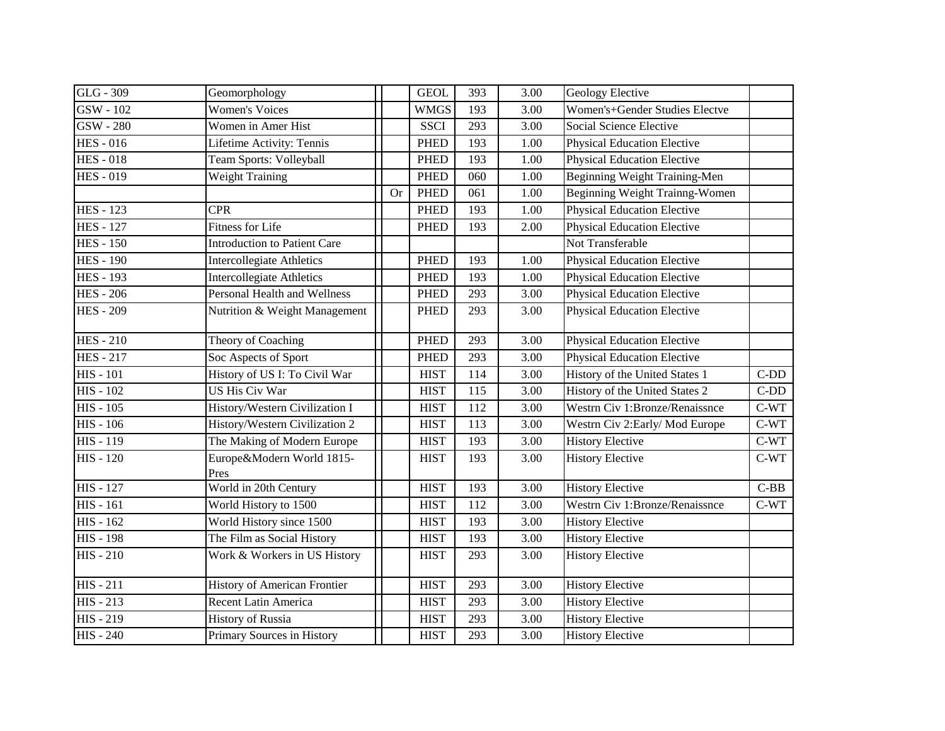| GLG - 309        | Geomorphology                       |           | <b>GEOL</b> | 393              | 3.00              | <b>Geology Elective</b>            |        |
|------------------|-------------------------------------|-----------|-------------|------------------|-------------------|------------------------------------|--------|
| GSW - 102        | <b>Women's Voices</b>               |           | <b>WMGS</b> | 193              | 3.00              | Women's+Gender Studies Electve     |        |
| GSW - 280        | Women in Amer Hist                  |           | <b>SSCI</b> | 293              | 3.00              | Social Science Elective            |        |
| <b>HES</b> - 016 | Lifetime Activity: Tennis           |           | <b>PHED</b> | 193              | 1.00              | <b>Physical Education Elective</b> |        |
| <b>HES-018</b>   | Team Sports: Volleyball             |           | <b>PHED</b> | 193              | 1.00              | <b>Physical Education Elective</b> |        |
| <b>HES-019</b>   | <b>Weight Training</b>              |           | <b>PHED</b> | 060              | 1.00              | Beginning Weight Training-Men      |        |
|                  |                                     | <b>Or</b> | <b>PHED</b> | 061              | $1.00\,$          | Beginning Weight Trainng-Women     |        |
| <b>HES</b> - 123 | <b>CPR</b>                          |           | <b>PHED</b> | 193              | 1.00              | <b>Physical Education Elective</b> |        |
| <b>HES</b> - 127 | <b>Fitness for Life</b>             |           | <b>PHED</b> | 193              | 2.00              | <b>Physical Education Elective</b> |        |
| <b>HES - 150</b> | Introduction to Patient Care        |           |             |                  |                   | Not Transferable                   |        |
| <b>HES</b> - 190 | <b>Intercollegiate Athletics</b>    |           | <b>PHED</b> | 193              | 1.00              | <b>Physical Education Elective</b> |        |
| <b>HES - 193</b> | <b>Intercollegiate Athletics</b>    |           | <b>PHED</b> | 193              | 1.00              | <b>Physical Education Elective</b> |        |
| <b>HES</b> - 206 | <b>Personal Health and Wellness</b> |           | <b>PHED</b> | 293              | 3.00              | <b>Physical Education Elective</b> |        |
| <b>HES</b> - 209 | Nutrition & Weight Management       |           | <b>PHED</b> | 293              | 3.00              | <b>Physical Education Elective</b> |        |
| <b>HES-210</b>   | Theory of Coaching                  |           | <b>PHED</b> | 293              | 3.00              | <b>Physical Education Elective</b> |        |
| <b>HES-217</b>   | Soc Aspects of Sport                |           | <b>PHED</b> | 293              | 3.00              | <b>Physical Education Elective</b> |        |
| $HIS - 101$      | History of US I: To Civil War       |           | <b>HIST</b> | 114              | 3.00              | History of the United States 1     | $C-DD$ |
| $HIS - 102$      | <b>US His Civ War</b>               |           | <b>HIST</b> | 115              | $\overline{3.00}$ | History of the United States 2     | $C-DD$ |
| <b>HIS - 105</b> | History/Western Civilization I      |           | <b>HIST</b> | 112              | 3.00              | Westrn Civ 1:Bronze/Renaissnce     | $C-WT$ |
| $HIS - 106$      | History/Western Civilization 2      |           | <b>HIST</b> | 113              | 3.00              | Westrn Civ 2: Early/Mod Europe     | $C-WT$ |
| <b>HIS - 119</b> | The Making of Modern Europe         |           | <b>HIST</b> | 193              | 3.00              | <b>History Elective</b>            | $C-WT$ |
| <b>HIS - 120</b> | Europe&Modern World 1815-<br>Pres   |           | <b>HIST</b> | 193              | 3.00              | <b>History Elective</b>            | $C-WT$ |
| <b>HIS - 127</b> | World in 20th Century               |           | <b>HIST</b> | 193              | 3.00              | <b>History Elective</b>            | $C-BB$ |
| <b>HIS - 161</b> | World History to 1500               |           | <b>HIST</b> | 112              | 3.00              | Westrn Civ 1:Bronze/Renaissnce     | $C-WT$ |
| $HIS - 162$      | World History since 1500            |           | <b>HIST</b> | 193              | 3.00              | <b>History Elective</b>            |        |
| <b>HIS - 198</b> | The Film as Social History          |           | <b>HIST</b> | 193              | 3.00              | <b>History Elective</b>            |        |
| <b>HIS - 210</b> | Work & Workers in US History        |           | <b>HIST</b> | 293              | 3.00              | <b>History Elective</b>            |        |
| $HIS - 211$      | History of American Frontier        |           | <b>HIST</b> | $\overline{293}$ | $\overline{3.00}$ | <b>History Elective</b>            |        |
| <b>HIS - 213</b> | Recent Latin America                |           | <b>HIST</b> | 293              | 3.00              | <b>History Elective</b>            |        |
| <b>HIS - 219</b> | <b>History of Russia</b>            |           | <b>HIST</b> | 293              | 3.00              | <b>History Elective</b>            |        |
| <b>HIS - 240</b> | Primary Sources in History          |           | <b>HIST</b> | 293              | 3.00              | <b>History Elective</b>            |        |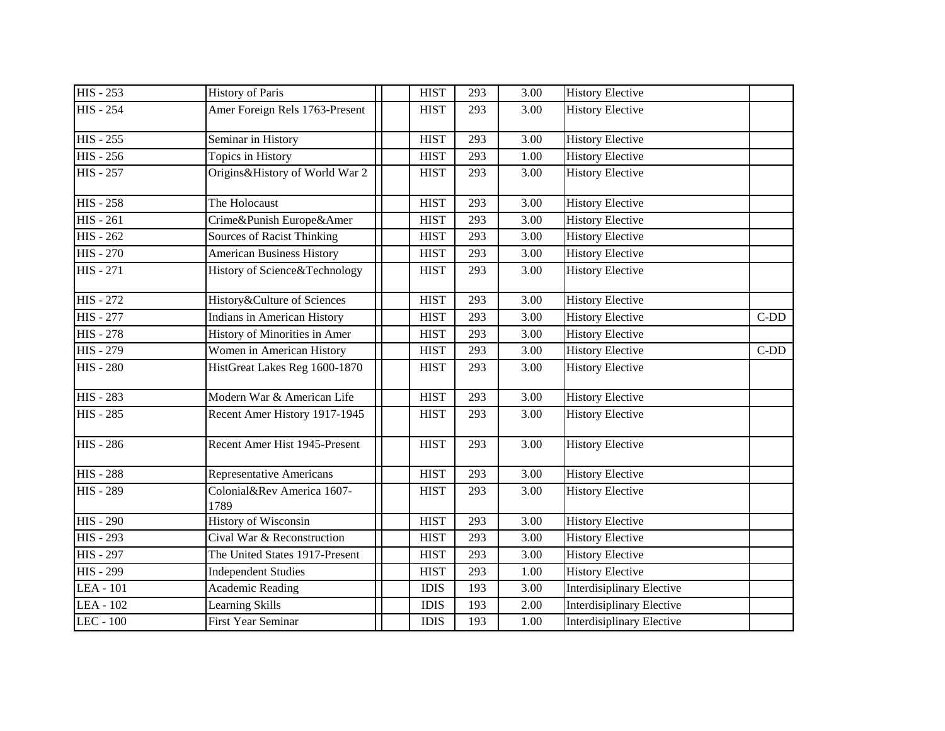| <b>HIS - 253</b>              | <b>History of Paris</b>            | <b>HIST</b> | 293 | 3.00 | <b>History Elective</b>          |        |
|-------------------------------|------------------------------------|-------------|-----|------|----------------------------------|--------|
| <b>HIS - 254</b>              | Amer Foreign Rels 1763-Present     | <b>HIST</b> | 293 | 3.00 | <b>History Elective</b>          |        |
| $\overline{H}$ IS - 255       | Seminar in History                 | <b>HIST</b> | 293 | 3.00 | <b>History Elective</b>          |        |
| <b>HIS - 256</b>              | Topics in History                  | <b>HIST</b> | 293 | 1.00 | <b>History Elective</b>          |        |
| <b>HIS - 257</b>              | Origins&History of World War 2     | <b>HIST</b> | 293 | 3.00 | <b>History Elective</b>          |        |
| <b>HIS - 258</b>              | The Holocaust                      | <b>HIST</b> | 293 | 3.00 | <b>History Elective</b>          |        |
| <b>HIS - 261</b>              | Crime&Punish Europe&Amer           | <b>HIST</b> | 293 | 3.00 | <b>History Elective</b>          |        |
| <b>HIS - 262</b>              | <b>Sources of Racist Thinking</b>  | <b>HIST</b> | 293 | 3.00 | <b>History Elective</b>          |        |
| $\overline{\text{HIS}}$ - 270 | <b>American Business History</b>   | <b>HIST</b> | 293 | 3.00 | <b>History Elective</b>          |        |
| <b>HIS - 271</b>              | History of Science&Technology      | <b>HIST</b> | 293 | 3.00 | <b>History Elective</b>          |        |
| <b>HIS - 272</b>              | History&Culture of Sciences        | <b>HIST</b> | 293 | 3.00 | <b>History Elective</b>          |        |
| <b>HIS - 277</b>              | <b>Indians in American History</b> | <b>HIST</b> | 293 | 3.00 | <b>History Elective</b>          | $C-DD$ |
| <b>HIS - 278</b>              | History of Minorities in Amer      | <b>HIST</b> | 293 | 3.00 | <b>History Elective</b>          |        |
| <b>HIS - 279</b>              | Women in American History          | <b>HIST</b> | 293 | 3.00 | <b>History Elective</b>          | $C-DD$ |
| <b>HIS - 280</b>              | HistGreat Lakes Reg 1600-1870      | <b>HIST</b> | 293 | 3.00 | <b>History Elective</b>          |        |
| <b>HIS - 283</b>              | Modern War & American Life         | <b>HIST</b> | 293 | 3.00 | <b>History Elective</b>          |        |
| <b>HIS - 285</b>              | Recent Amer History 1917-1945      | <b>HIST</b> | 293 | 3.00 | <b>History Elective</b>          |        |
| <b>HIS - 286</b>              | Recent Amer Hist 1945-Present      | <b>HIST</b> | 293 | 3.00 | <b>History Elective</b>          |        |
| <b>HIS - 288</b>              | <b>Representative Americans</b>    | <b>HIST</b> | 293 | 3.00 | <b>History Elective</b>          |        |
| <b>HIS - 289</b>              | Colonial&Rev America 1607-<br>1789 | <b>HIST</b> | 293 | 3.00 | <b>History Elective</b>          |        |
| <b>HIS - 290</b>              | <b>History of Wisconsin</b>        | <b>HIST</b> | 293 | 3.00 | <b>History Elective</b>          |        |
| <b>HIS - 293</b>              | Cival War & Reconstruction         | <b>HIST</b> | 293 | 3.00 | <b>History Elective</b>          |        |
| <b>HIS - 297</b>              | The United States 1917-Present     | <b>HIST</b> | 293 | 3.00 | <b>History Elective</b>          |        |
| <b>HIS - 299</b>              | <b>Independent Studies</b>         | <b>HIST</b> | 293 | 1.00 | <b>History Elective</b>          |        |
| LEA - 101                     | <b>Academic Reading</b>            | <b>IDIS</b> | 193 | 3.00 | Interdisiplinary Elective        |        |
| LEA - 102                     | Learning Skills                    | <b>IDIS</b> | 193 | 2.00 | <b>Interdisiplinary Elective</b> |        |
| LEC - 100                     | <b>First Year Seminar</b>          | <b>IDIS</b> | 193 | 1.00 | <b>Interdisiplinary Elective</b> |        |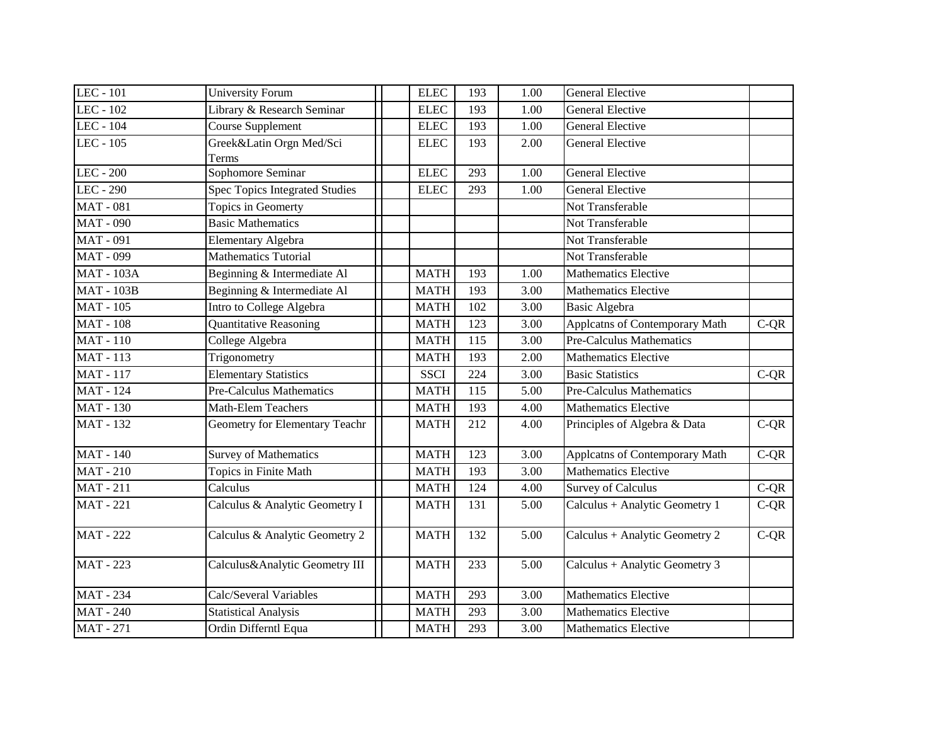| LEC - 101         | <b>University Forum</b>         | <b>ELEC</b> | 193 | 1.00 | <b>General Elective</b>         |        |
|-------------------|---------------------------------|-------------|-----|------|---------------------------------|--------|
| LEC - 102         | Library & Research Seminar      | <b>ELEC</b> | 193 | 1.00 | <b>General Elective</b>         |        |
| LEC - 104         | Course Supplement               | <b>ELEC</b> | 193 | 1.00 | <b>General Elective</b>         |        |
| LEC - 105         | Greek&Latin Orgn Med/Sci        | <b>ELEC</b> | 193 | 2.00 | <b>General Elective</b>         |        |
|                   | Terms                           |             |     |      |                                 |        |
| <b>LEC - 200</b>  | Sophomore Seminar               | <b>ELEC</b> | 293 | 1.00 | <b>General Elective</b>         |        |
| LEC - 290         | Spec Topics Integrated Studies  | <b>ELEC</b> | 293 | 1.00 | <b>General Elective</b>         |        |
| <b>MAT-081</b>    | Topics in Geomerty              |             |     |      | Not Transferable                |        |
| <b>MAT - 090</b>  | <b>Basic Mathematics</b>        |             |     |      | Not Transferable                |        |
| <b>MAT-091</b>    | <b>Elementary Algebra</b>       |             |     |      | Not Transferable                |        |
| <b>MAT - 099</b>  | <b>Mathematics Tutorial</b>     |             |     |      | Not Transferable                |        |
| <b>MAT - 103A</b> | Beginning & Intermediate Al     | <b>MATH</b> | 193 | 1.00 | <b>Mathematics Elective</b>     |        |
| <b>MAT - 103B</b> | Beginning & Intermediate Al     | <b>MATH</b> | 193 | 3.00 | <b>Mathematics Elective</b>     |        |
| <b>MAT - 105</b>  | Intro to College Algebra        | <b>MATH</b> | 102 | 3.00 | <b>Basic Algebra</b>            |        |
| <b>MAT-108</b>    | <b>Quantitative Reasoning</b>   | <b>MATH</b> | 123 | 3.00 | Applcatns of Contemporary Math  | $C-QR$ |
| <b>MAT-110</b>    | College Algebra                 | <b>MATH</b> | 115 | 3.00 | <b>Pre-Calculus Mathematics</b> |        |
| <b>MAT-113</b>    | Trigonometry                    | <b>MATH</b> | 193 | 2.00 | <b>Mathematics Elective</b>     |        |
| <b>MAT-117</b>    | <b>Elementary Statistics</b>    | <b>SSCI</b> | 224 | 3.00 | <b>Basic Statistics</b>         | $C-QR$ |
| <b>MAT</b> - 124  | <b>Pre-Calculus Mathematics</b> | <b>MATH</b> | 115 | 5.00 | Pre-Calculus Mathematics        |        |
| <b>MAT-130</b>    | Math-Elem Teachers              | <b>MATH</b> | 193 | 4.00 | <b>Mathematics Elective</b>     |        |
| <b>MAT-132</b>    | Geometry for Elementary Teachr  | <b>MATH</b> | 212 | 4.00 | Principles of Algebra & Data    | $C-QR$ |
| <b>MAT - 140</b>  | <b>Survey of Mathematics</b>    | <b>MATH</b> | 123 | 3.00 | Applcatns of Contemporary Math  | $C-QR$ |
| <b>MAT-210</b>    | Topics in Finite Math           | <b>MATH</b> | 193 | 3.00 | <b>Mathematics Elective</b>     |        |
| <b>MAT-211</b>    | Calculus                        | <b>MATH</b> | 124 | 4.00 | <b>Survey of Calculus</b>       | $C-QR$ |
| <b>MAT</b> - 221  | Calculus & Analytic Geometry I  | <b>MATH</b> | 131 | 5.00 | Calculus + Analytic Geometry 1  | $C-QR$ |
| <b>MAT</b> - 222  | Calculus & Analytic Geometry 2  | <b>MATH</b> | 132 | 5.00 | Calculus + Analytic Geometry 2  | $C-QR$ |
| <b>MAT - 223</b>  | Calculus&Analytic Geometry III  | <b>MATH</b> | 233 | 5.00 | Calculus + Analytic Geometry 3  |        |
| <b>MAT - 234</b>  | Calc/Several Variables          | <b>MATH</b> | 293 | 3.00 | <b>Mathematics Elective</b>     |        |
| <b>MAT</b> - 240  | <b>Statistical Analysis</b>     | <b>MATH</b> | 293 | 3.00 | <b>Mathematics Elective</b>     |        |
| <b>MAT</b> - 271  | Ordin Differntl Equa            | <b>MATH</b> | 293 | 3.00 | <b>Mathematics Elective</b>     |        |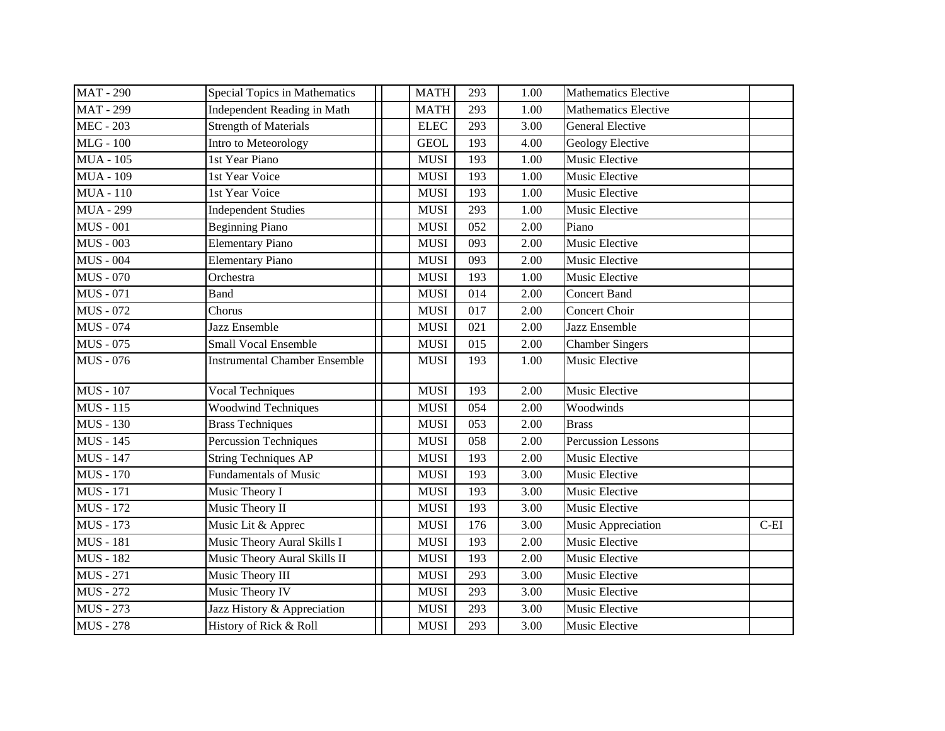| <b>MAT-290</b>   | <b>Special Topics in Mathematics</b> | <b>MATH</b> | 293 | 1.00              | <b>Mathematics Elective</b> |         |
|------------------|--------------------------------------|-------------|-----|-------------------|-----------------------------|---------|
| <b>MAT - 299</b> | Independent Reading in Math          | <b>MATH</b> | 293 | 1.00              | <b>Mathematics Elective</b> |         |
| $MEC - 203$      | <b>Strength of Materials</b>         | <b>ELEC</b> | 293 | 3.00              | <b>General Elective</b>     |         |
| $MLG - 100$      | Intro to Meteorology                 | <b>GEOL</b> | 193 | 4.00              | Geology Elective            |         |
| <b>MUA</b> - 105 | 1st Year Piano                       | <b>MUSI</b> | 193 | 1.00              | Music Elective              |         |
| <b>MUA</b> - 109 | 1st Year Voice                       | <b>MUSI</b> | 193 | 1.00              | Music Elective              |         |
| <b>MUA</b> - 110 | 1st Year Voice                       | <b>MUSI</b> | 193 | 1.00              | Music Elective              |         |
| <b>MUA</b> - 299 | <b>Independent Studies</b>           | <b>MUSI</b> | 293 | 1.00              | Music Elective              |         |
| <b>MUS - 001</b> | <b>Beginning Piano</b>               | <b>MUSI</b> | 052 | 2.00              | Piano                       |         |
| <b>MUS - 003</b> | <b>Elementary Piano</b>              | <b>MUSI</b> | 093 | 2.00              | Music Elective              |         |
| <b>MUS - 004</b> | <b>Elementary Piano</b>              | <b>MUSI</b> | 093 | 2.00              | Music Elective              |         |
| <b>MUS - 070</b> | Orchestra                            | <b>MUSI</b> | 193 | 1.00              | Music Elective              |         |
| <b>MUS</b> - 071 | <b>Band</b>                          | <b>MUSI</b> | 014 | 2.00              | <b>Concert Band</b>         |         |
| $MUS - 072$      | Chorus                               | <b>MUSI</b> | 017 | 2.00              | Concert Choir               |         |
| <b>MUS</b> - 074 | Jazz Ensemble                        | <b>MUSI</b> | 021 | 2.00              | Jazz Ensemble               |         |
| <b>MUS - 075</b> | <b>Small Vocal Ensemble</b>          | <b>MUSI</b> | 015 | 2.00              | <b>Chamber Singers</b>      |         |
| <b>MUS - 076</b> | <b>Instrumental Chamber Ensemble</b> | <b>MUSI</b> | 193 | 1.00              | Music Elective              |         |
| <b>MUS</b> - 107 | Vocal Techniques                     | <b>MUSI</b> | 193 | 2.00              | Music Elective              |         |
| <b>MUS</b> - 115 | <b>Woodwind Techniques</b>           | <b>MUSI</b> | 054 | 2.00              | Woodwinds                   |         |
| $MUS - 130$      | <b>Brass Techniques</b>              | <b>MUSI</b> | 053 | 2.00              | <b>Brass</b>                |         |
| <b>MUS</b> - 145 | Percussion Techniques                | <b>MUSI</b> | 058 | 2.00              | Percussion Lessons          |         |
| <b>MUS</b> - 147 | <b>String Techniques AP</b>          | <b>MUSI</b> | 193 | 2.00              | Music Elective              |         |
| <b>MUS</b> - 170 | <b>Fundamentals of Music</b>         | <b>MUSI</b> | 193 | 3.00              | Music Elective              |         |
| <b>MUS</b> - 171 | Music Theory I                       | <b>MUSI</b> | 193 | 3.00              | Music Elective              |         |
| <b>MUS</b> - 172 | Music Theory II                      | <b>MUSI</b> | 193 | 3.00              | Music Elective              |         |
| <b>MUS</b> - 173 | Music Lit & Apprec                   | <b>MUSI</b> | 176 | 3.00              | Music Appreciation          | $C$ -EI |
| <b>MUS</b> - 181 | Music Theory Aural Skills I          | <b>MUSI</b> | 193 | 2.00              | Music Elective              |         |
| <b>MUS</b> - 182 | Music Theory Aural Skills II         | <b>MUSI</b> | 193 | 2.00              | Music Elective              |         |
| <b>MUS</b> - 271 | Music Theory III                     | <b>MUSI</b> | 293 | $\overline{3.00}$ | Music Elective              |         |
| <b>MUS</b> - 272 | Music Theory IV                      | <b>MUSI</b> | 293 | 3.00              | Music Elective              |         |
| <b>MUS</b> - 273 | Jazz History & Appreciation          | <b>MUSI</b> | 293 | 3.00              | Music Elective              |         |
| <b>MUS</b> - 278 | History of Rick & Roll               | <b>MUSI</b> | 293 | 3.00              | Music Elective              |         |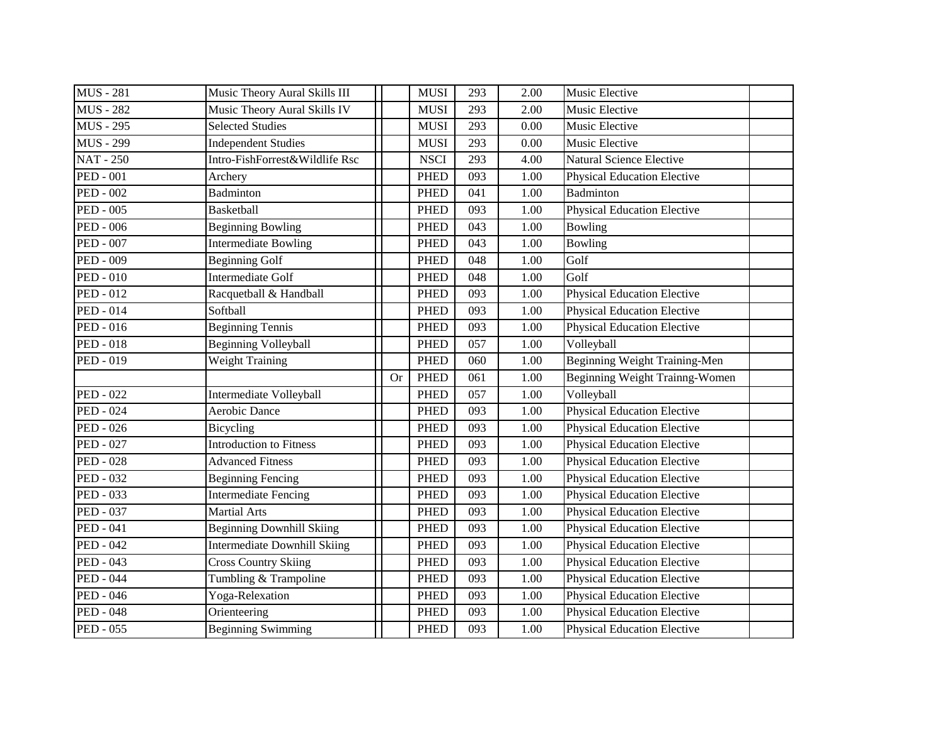| <b>MUS</b> - 281 | Music Theory Aural Skills III       |           | <b>MUSI</b> | 293 | 2.00 | Music Elective                     |  |
|------------------|-------------------------------------|-----------|-------------|-----|------|------------------------------------|--|
| <b>MUS</b> - 282 | Music Theory Aural Skills IV        |           | <b>MUSI</b> | 293 | 2.00 | Music Elective                     |  |
| <b>MUS</b> - 295 | <b>Selected Studies</b>             |           | <b>MUSI</b> | 293 | 0.00 | Music Elective                     |  |
| <b>MUS</b> - 299 | <b>Independent Studies</b>          |           | <b>MUSI</b> | 293 | 0.00 | Music Elective                     |  |
| <b>NAT-250</b>   | Intro-FishForrest&Wildlife Rsc      |           | <b>NSCI</b> | 293 | 4.00 | <b>Natural Science Elective</b>    |  |
| <b>PED - 001</b> | Archery                             |           | <b>PHED</b> | 093 | 1.00 | <b>Physical Education Elective</b> |  |
| <b>PED - 002</b> | <b>Badminton</b>                    |           | <b>PHED</b> | 041 | 1.00 | Badminton                          |  |
| <b>PED - 005</b> | <b>Basketball</b>                   |           | <b>PHED</b> | 093 | 1.00 | <b>Physical Education Elective</b> |  |
| <b>PED - 006</b> | <b>Beginning Bowling</b>            |           | <b>PHED</b> | 043 | 1.00 | Bowling                            |  |
| <b>PED - 007</b> | Intermediate Bowling                |           | <b>PHED</b> | 043 | 1.00 | <b>Bowling</b>                     |  |
| <b>PED - 009</b> | <b>Beginning Golf</b>               |           | <b>PHED</b> | 048 | 1.00 | Golf                               |  |
| <b>PED - 010</b> | <b>Intermediate Golf</b>            |           | <b>PHED</b> | 048 | 1.00 | Golf                               |  |
| <b>PED - 012</b> | Racquetball & Handball              |           | <b>PHED</b> | 093 | 1.00 | <b>Physical Education Elective</b> |  |
| <b>PED - 014</b> | Softball                            |           | <b>PHED</b> | 093 | 1.00 | <b>Physical Education Elective</b> |  |
| <b>PED - 016</b> | <b>Beginning Tennis</b>             |           | <b>PHED</b> | 093 | 1.00 | <b>Physical Education Elective</b> |  |
| <b>PED - 018</b> | <b>Beginning Volleyball</b>         |           | <b>PHED</b> | 057 | 1.00 | Volleyball                         |  |
| <b>PED - 019</b> | <b>Weight Training</b>              |           | <b>PHED</b> | 060 | 1.00 | Beginning Weight Training-Men      |  |
|                  |                                     | <b>Or</b> | <b>PHED</b> | 061 | 1.00 | Beginning Weight Trainng-Women     |  |
| <b>PED - 022</b> | Intermediate Volleyball             |           | <b>PHED</b> | 057 | 1.00 | Volleyball                         |  |
| <b>PED - 024</b> | <b>Aerobic Dance</b>                |           | <b>PHED</b> | 093 | 1.00 | <b>Physical Education Elective</b> |  |
| <b>PED - 026</b> | Bicycling                           |           | <b>PHED</b> | 093 | 1.00 | <b>Physical Education Elective</b> |  |
| <b>PED - 027</b> | <b>Introduction to Fitness</b>      |           | <b>PHED</b> | 093 | 1.00 | <b>Physical Education Elective</b> |  |
| <b>PED - 028</b> | <b>Advanced Fitness</b>             |           | <b>PHED</b> | 093 | 1.00 | <b>Physical Education Elective</b> |  |
| <b>PED - 032</b> | <b>Beginning Fencing</b>            |           | <b>PHED</b> | 093 | 1.00 | <b>Physical Education Elective</b> |  |
| <b>PED - 033</b> | <b>Intermediate Fencing</b>         |           | <b>PHED</b> | 093 | 1.00 | <b>Physical Education Elective</b> |  |
| <b>PED - 037</b> | <b>Martial Arts</b>                 |           | <b>PHED</b> | 093 | 1.00 | <b>Physical Education Elective</b> |  |
| <b>PED - 041</b> | <b>Beginning Downhill Skiing</b>    |           | <b>PHED</b> | 093 | 1.00 | <b>Physical Education Elective</b> |  |
| <b>PED - 042</b> | <b>Intermediate Downhill Skiing</b> |           | <b>PHED</b> | 093 | 1.00 | <b>Physical Education Elective</b> |  |
| <b>PED - 043</b> | <b>Cross Country Skiing</b>         |           | <b>PHED</b> | 093 | 1.00 | <b>Physical Education Elective</b> |  |
| <b>PED - 044</b> | Tumbling & Trampoline               |           | <b>PHED</b> | 093 | 1.00 | <b>Physical Education Elective</b> |  |
| <b>PED - 046</b> | Yoga-Relexation                     |           | <b>PHED</b> | 093 | 1.00 | <b>Physical Education Elective</b> |  |
| <b>PED - 048</b> | Orienteering                        |           | <b>PHED</b> | 093 | 1.00 | <b>Physical Education Elective</b> |  |
| <b>PED - 055</b> | <b>Beginning Swimming</b>           |           | <b>PHED</b> | 093 | 1.00 | <b>Physical Education Elective</b> |  |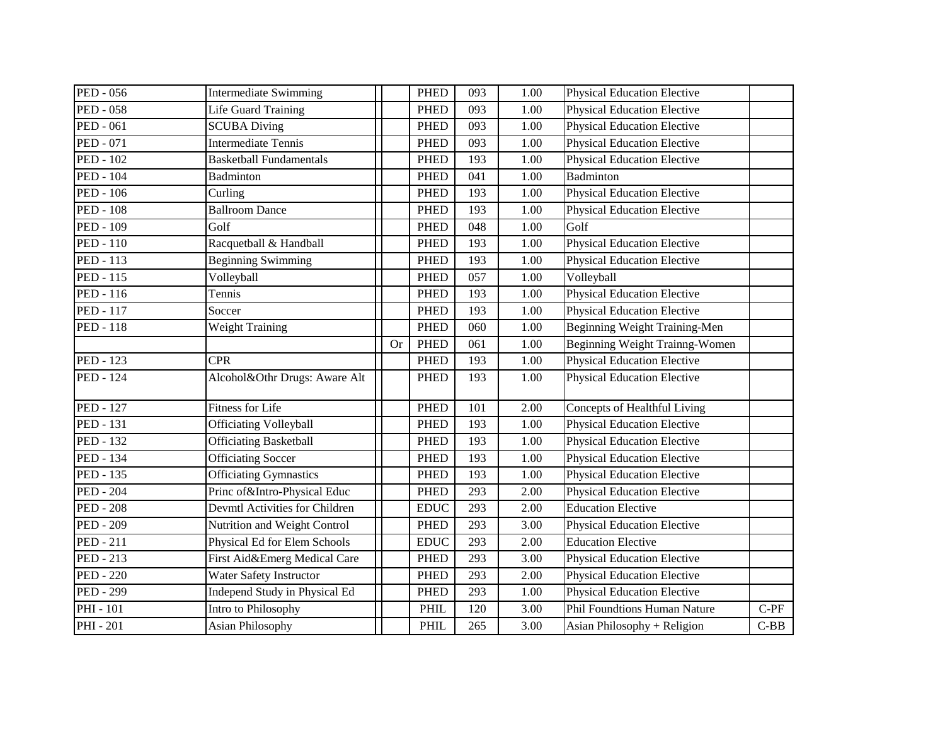| <b>PED - 056</b> | <b>Intermediate Swimming</b>   |           | <b>PHED</b> | 093 | 1.00 | <b>Physical Education Elective</b> |        |
|------------------|--------------------------------|-----------|-------------|-----|------|------------------------------------|--------|
| <b>PED - 058</b> | Life Guard Training            |           | <b>PHED</b> | 093 | 1.00 | <b>Physical Education Elective</b> |        |
| <b>PED - 061</b> | <b>SCUBA Diving</b>            |           | <b>PHED</b> | 093 | 1.00 | <b>Physical Education Elective</b> |        |
| <b>PED - 071</b> | <b>Intermediate Tennis</b>     |           | <b>PHED</b> | 093 | 1.00 | <b>Physical Education Elective</b> |        |
| <b>PED - 102</b> | <b>Basketball Fundamentals</b> |           | <b>PHED</b> | 193 | 1.00 | <b>Physical Education Elective</b> |        |
| <b>PED - 104</b> | <b>Badminton</b>               |           | <b>PHED</b> | 041 | 1.00 | Badminton                          |        |
| <b>PED - 106</b> | Curling                        |           | <b>PHED</b> | 193 | 1.00 | <b>Physical Education Elective</b> |        |
| <b>PED - 108</b> | <b>Ballroom Dance</b>          |           | <b>PHED</b> | 193 | 1.00 | <b>Physical Education Elective</b> |        |
| <b>PED - 109</b> | Golf                           |           | <b>PHED</b> | 048 | 1.00 | Golf                               |        |
| <b>PED - 110</b> | Racquetball & Handball         |           | <b>PHED</b> | 193 | 1.00 | <b>Physical Education Elective</b> |        |
| <b>PED - 113</b> | <b>Beginning Swimming</b>      |           | <b>PHED</b> | 193 | 1.00 | <b>Physical Education Elective</b> |        |
| <b>PED</b> - 115 | Volleyball                     |           | <b>PHED</b> | 057 | 1.00 | Volleyball                         |        |
| <b>PED</b> - 116 | Tennis                         |           | <b>PHED</b> | 193 | 1.00 | <b>Physical Education Elective</b> |        |
| <b>PED - 117</b> | Soccer                         |           | <b>PHED</b> | 193 | 1.00 | <b>Physical Education Elective</b> |        |
| <b>PED - 118</b> | <b>Weight Training</b>         |           | <b>PHED</b> | 060 | 1.00 | Beginning Weight Training-Men      |        |
|                  |                                | <b>Or</b> | <b>PHED</b> | 061 | 1.00 | Beginning Weight Trainng-Women     |        |
| <b>PED</b> - 123 | <b>CPR</b>                     |           | <b>PHED</b> | 193 | 1.00 | <b>Physical Education Elective</b> |        |
| <b>PED</b> - 124 | Alcohol&Othr Drugs: Aware Alt  |           | <b>PHED</b> | 193 | 1.00 | <b>Physical Education Elective</b> |        |
| <b>PED</b> - 127 | <b>Fitness for Life</b>        |           | <b>PHED</b> | 101 | 2.00 | Concepts of Healthful Living       |        |
| <b>PED</b> - 131 | <b>Officiating Volleyball</b>  |           | <b>PHED</b> | 193 | 1.00 | <b>Physical Education Elective</b> |        |
| PED - 132        | <b>Officiating Basketball</b>  |           | <b>PHED</b> | 193 | 1.00 | <b>Physical Education Elective</b> |        |
| PED - 134        | <b>Officiating Soccer</b>      |           | <b>PHED</b> | 193 | 1.00 | <b>Physical Education Elective</b> |        |
| <b>PED - 135</b> | <b>Officiating Gymnastics</b>  |           | <b>PHED</b> | 193 | 1.00 | <b>Physical Education Elective</b> |        |
| <b>PED - 204</b> | Princ of&Intro-Physical Educ   |           | <b>PHED</b> | 293 | 2.00 | <b>Physical Education Elective</b> |        |
| <b>PED - 208</b> | Devmtl Activities for Children |           | <b>EDUC</b> | 293 | 2.00 | <b>Education Elective</b>          |        |
| <b>PED - 209</b> | Nutrition and Weight Control   |           | <b>PHED</b> | 293 | 3.00 | <b>Physical Education Elective</b> |        |
| <b>PED</b> - 211 | Physical Ed for Elem Schools   |           | <b>EDUC</b> | 293 | 2.00 | <b>Education Elective</b>          |        |
| PED - 213        | First Aid&Emerg Medical Care   |           | <b>PHED</b> | 293 | 3.00 | <b>Physical Education Elective</b> |        |
| <b>PED - 220</b> | Water Safety Instructor        |           | <b>PHED</b> | 293 | 2.00 | <b>Physical Education Elective</b> |        |
| <b>PED - 299</b> | Independ Study in Physical Ed  |           | <b>PHED</b> | 293 | 1.00 | <b>Physical Education Elective</b> |        |
| PHI - 101        | Intro to Philosophy            |           | PHIL        | 120 | 3.00 | Phil Foundtions Human Nature       | $C-PF$ |
| <b>PHI</b> - 201 | <b>Asian Philosophy</b>        |           | PHIL        | 265 | 3.00 | Asian Philosophy + Religion        | $C-BB$ |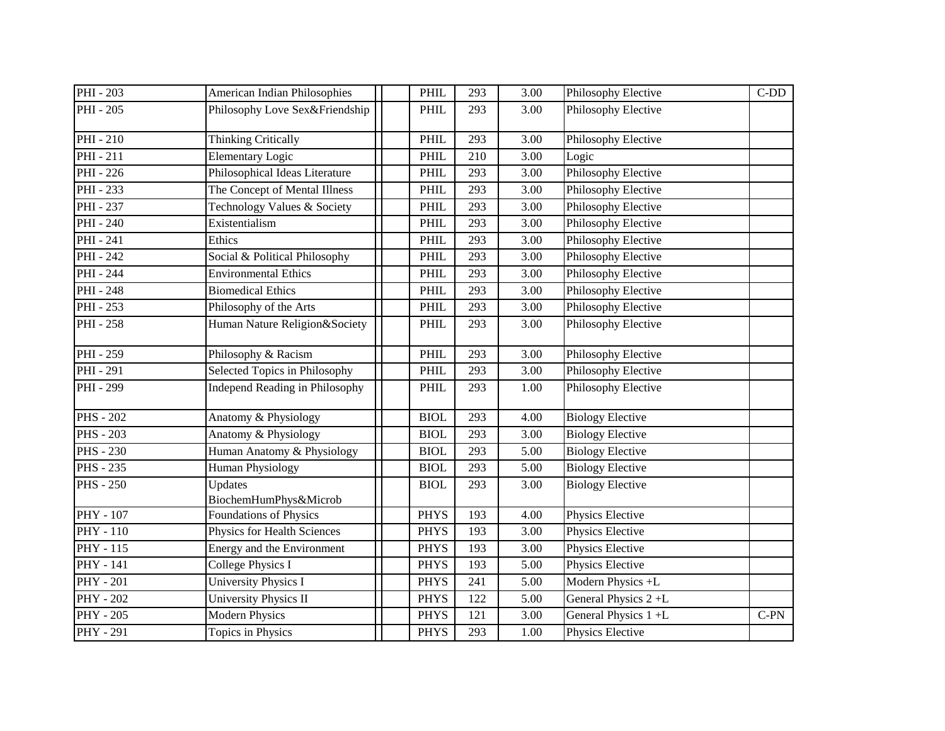| PHI - 203        | American Indian Philosophies     | PHIL        | 293 | 3.00              | Philosophy Elective     | $C-DD$ |
|------------------|----------------------------------|-------------|-----|-------------------|-------------------------|--------|
| PHI - 205        | Philosophy Love Sex&Friendship   | PHIL        | 293 | 3.00              | Philosophy Elective     |        |
| PHI-210          | <b>Thinking Critically</b>       | PHIL        | 293 | 3.00              | Philosophy Elective     |        |
| PHI-211          | <b>Elementary Logic</b>          | PHIL        | 210 | 3.00              | Logic                   |        |
| PHI - 226        | Philosophical Ideas Literature   | <b>PHIL</b> | 293 | 3.00              | Philosophy Elective     |        |
| PHI - 233        | The Concept of Mental Illness    | PHIL        | 293 | 3.00              | Philosophy Elective     |        |
| <b>PHI</b> - 237 | Technology Values & Society      | PHIL        | 293 | 3.00              | Philosophy Elective     |        |
| PHI - 240        | Existentialism                   | PHIL        | 293 | 3.00              | Philosophy Elective     |        |
| PHI - 241        | Ethics                           | PHIL        | 293 | 3.00              | Philosophy Elective     |        |
| PHI - 242        | Social & Political Philosophy    | PHIL        | 293 | 3.00              | Philosophy Elective     |        |
| PHI - 244        | <b>Environmental Ethics</b>      | PHIL        | 293 | 3.00              | Philosophy Elective     |        |
| <b>PHI</b> - 248 | <b>Biomedical Ethics</b>         | PHIL        | 293 | 3.00              | Philosophy Elective     |        |
| PHI - 253        | Philosophy of the Arts           | PHIL        | 293 | 3.00              | Philosophy Elective     |        |
| <b>PHI</b> - 258 | Human Nature Religion&Society    | PHIL        | 293 | 3.00              | Philosophy Elective     |        |
| PHI - 259        | Philosophy & Racism              | PHIL        | 293 | 3.00              | Philosophy Elective     |        |
| <b>PHI</b> - 291 | Selected Topics in Philosophy    | <b>PHIL</b> | 293 | 3.00              | Philosophy Elective     |        |
| PHI - 299        | Independ Reading in Philosophy   | PHIL        | 293 | 1.00              | Philosophy Elective     |        |
| <b>PHS - 202</b> | Anatomy & Physiology             | <b>BIOL</b> | 293 | 4.00              | <b>Biology Elective</b> |        |
| <b>PHS</b> - 203 | Anatomy & Physiology             | <b>BIOL</b> | 293 | 3.00              | <b>Biology Elective</b> |        |
| <b>PHS - 230</b> | Human Anatomy & Physiology       | <b>BIOL</b> | 293 | 5.00              | <b>Biology Elective</b> |        |
| <b>PHS</b> - 235 | <b>Human Physiology</b>          | <b>BIOL</b> | 293 | 5.00              | <b>Biology Elective</b> |        |
| <b>PHS</b> - 250 | Updates<br>BiochemHumPhys&Microb | <b>BIOL</b> | 293 | 3.00              | <b>Biology Elective</b> |        |
| <b>PHY - 107</b> | Foundations of Physics           | <b>PHYS</b> | 193 | 4.00              | Physics Elective        |        |
| $PHY - 110$      | Physics for Health Sciences      | <b>PHYS</b> | 193 | 3.00              | Physics Elective        |        |
| PHY - 115        | Energy and the Environment       | <b>PHYS</b> | 193 | 3.00              | Physics Elective        |        |
| PHY - 141        | <b>College Physics I</b>         | <b>PHYS</b> | 193 | $\overline{5.00}$ | Physics Elective        |        |
| <b>PHY - 201</b> | <b>University Physics I</b>      | <b>PHYS</b> | 241 | 5.00              | Modern Physics +L       |        |
| <b>PHY - 202</b> | University Physics II            | <b>PHYS</b> | 122 | 5.00              | General Physics 2+L     |        |
| <b>PHY - 205</b> | <b>Modern Physics</b>            | <b>PHYS</b> | 121 | 3.00              | General Physics 1 +L    | $C-PN$ |
| <b>PHY - 291</b> | Topics in Physics                | <b>PHYS</b> | 293 | 1.00              | Physics Elective        |        |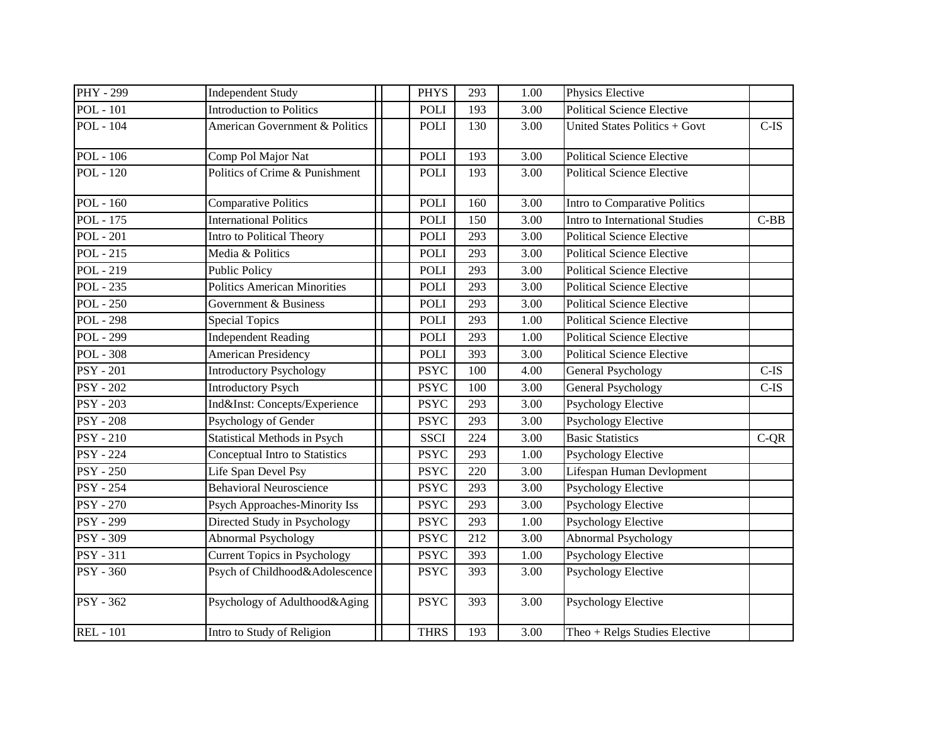| <b>PHY - 299</b>       | <b>Independent Study</b>            | <b>PHYS</b> | 293 | 1.00 | Physics Elective                  |         |
|------------------------|-------------------------------------|-------------|-----|------|-----------------------------------|---------|
| <b>POL</b> - 101       | Introduction to Politics            | <b>POLI</b> | 193 | 3.00 | <b>Political Science Elective</b> |         |
| <b>POL</b> - 104       | American Government & Politics      | <b>POLI</b> | 130 | 3.00 | United States Politics + Govt     | $C$ -IS |
| <b>POL</b> - 106       | Comp Pol Major Nat                  | <b>POLI</b> | 193 | 3.00 | <b>Political Science Elective</b> |         |
| <b>POL</b> - 120       | Politics of Crime & Punishment      | <b>POLI</b> | 193 | 3.00 | <b>Political Science Elective</b> |         |
| <b>POL</b> - 160       | <b>Comparative Politics</b>         | <b>POLI</b> | 160 | 3.00 | Intro to Comparative Politics     |         |
| POL - 175              | <b>International Politics</b>       | <b>POLI</b> | 150 | 3.00 | Intro to International Studies    | $C-BB$  |
| <b>POL</b> - 201       | Intro to Political Theory           | <b>POLI</b> | 293 | 3.00 | <b>Political Science Elective</b> |         |
| <b>POL</b> - 215       | Media & Politics                    | <b>POLI</b> | 293 | 3.00 | Political Science Elective        |         |
| <b>POL</b> - 219       | <b>Public Policy</b>                | <b>POLI</b> | 293 | 3.00 | <b>Political Science Elective</b> |         |
| <b>POL</b> - 235       | <b>Politics American Minorities</b> | <b>POLI</b> | 293 | 3.00 | <b>Political Science Elective</b> |         |
| $POL - 250$            | Government & Business               | <b>POLI</b> | 293 | 3.00 | <b>Political Science Elective</b> |         |
| <b>POL</b> - 298       | <b>Special Topics</b>               | <b>POLI</b> | 293 | 1.00 | <b>Political Science Elective</b> |         |
| <b>POL - 299</b>       | <b>Independent Reading</b>          | POLI        | 293 | 1.00 | <b>Political Science Elective</b> |         |
| <b>POL - 308</b>       | <b>American Presidency</b>          | <b>POLI</b> | 393 | 3.00 | <b>Political Science Elective</b> |         |
| <b>PSY - 201</b>       | <b>Introductory Psychology</b>      | <b>PSYC</b> | 100 | 4.00 | General Psychology                | $C-IS$  |
| $\overline{PSY}$ - 202 | <b>Introductory Psych</b>           | <b>PSYC</b> | 100 | 3.00 | General Psychology                | $C-IS$  |
| <b>PSY - 203</b>       | Ind&Inst: Concepts/Experience       | <b>PSYC</b> | 293 | 3.00 | <b>Psychology Elective</b>        |         |
| <b>PSY - 208</b>       | Psychology of Gender                | <b>PSYC</b> | 293 | 3.00 | <b>Psychology Elective</b>        |         |
| <b>PSY - 210</b>       | <b>Statistical Methods in Psych</b> | <b>SSCI</b> | 224 | 3.00 | <b>Basic Statistics</b>           | $C-QR$  |
| <b>PSY</b> - 224       | Conceptual Intro to Statistics      | <b>PSYC</b> | 293 | 1.00 | <b>Psychology Elective</b>        |         |
| <b>PSY - 250</b>       | Life Span Devel Psy                 | <b>PSYC</b> | 220 | 3.00 | Lifespan Human Devlopment         |         |
| $\overline{PSY}$ - 254 | <b>Behavioral Neuroscience</b>      | <b>PSYC</b> | 293 | 3.00 | <b>Psychology Elective</b>        |         |
| <b>PSY - 270</b>       | Psych Approaches-Minority Iss       | <b>PSYC</b> | 293 | 3.00 | Psychology Elective               |         |
| <b>PSY - 299</b>       | Directed Study in Psychology        | <b>PSYC</b> | 293 | 1.00 | <b>Psychology Elective</b>        |         |
| <b>PSY - 309</b>       | Abnormal Psychology                 | <b>PSYC</b> | 212 | 3.00 | Abnormal Psychology               |         |
| PSY - 311              | <b>Current Topics in Psychology</b> | <b>PSYC</b> | 393 | 1.00 | <b>Psychology Elective</b>        |         |
| <b>PSY - 360</b>       | Psych of Childhood&Adolescence      | <b>PSYC</b> | 393 | 3.00 | Psychology Elective               |         |
| <b>PSY - 362</b>       | Psychology of Adulthood&Aging       | <b>PSYC</b> | 393 | 3.00 | <b>Psychology Elective</b>        |         |
| <b>REL</b> - 101       | Intro to Study of Religion          | <b>THRS</b> | 193 | 3.00 | Theo + Relgs Studies Elective     |         |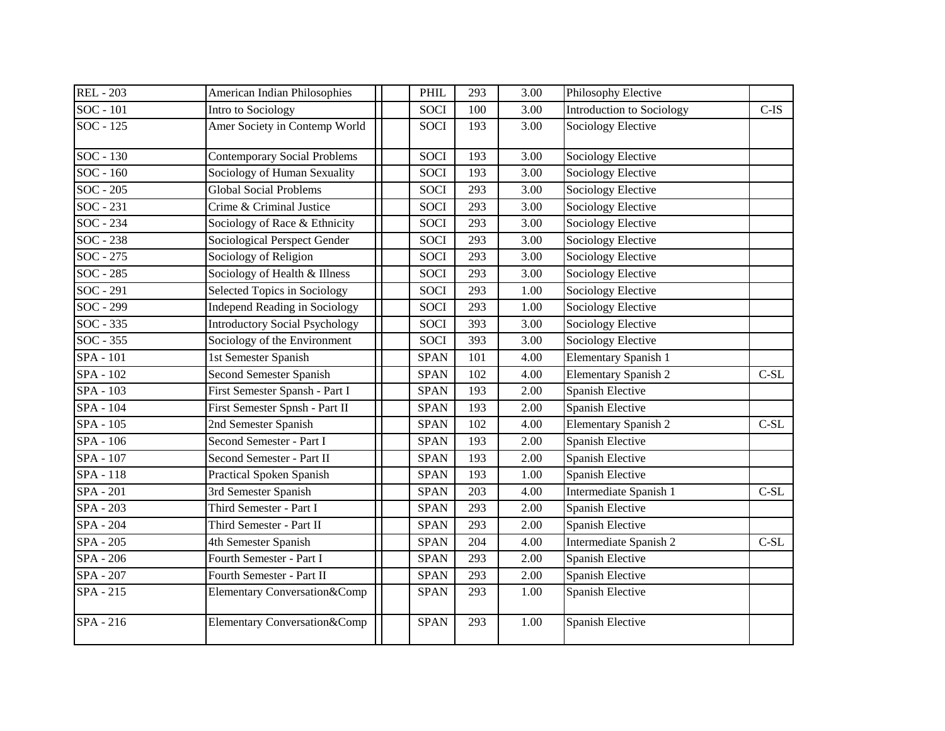| <b>REL</b> - 203 | <b>American Indian Philosophies</b>   | PHIL        | 293 | 3.00 | Philosophy Elective              |               |
|------------------|---------------------------------------|-------------|-----|------|----------------------------------|---------------|
| SOC - 101        | Intro to Sociology                    | <b>SOCI</b> | 100 | 3.00 | <b>Introduction to Sociology</b> | $C$ -IS       |
| SOC - 125        | Amer Society in Contemp World         | <b>SOCI</b> | 193 | 3.00 | <b>Sociology Elective</b>        |               |
| SOC - 130        | <b>Contemporary Social Problems</b>   | <b>SOCI</b> | 193 | 3.00 | <b>Sociology Elective</b>        |               |
| $SOC - 160$      | Sociology of Human Sexuality          | <b>SOCI</b> | 193 | 3.00 | <b>Sociology Elective</b>        |               |
| SOC - 205        | <b>Global Social Problems</b>         | SOCI        | 293 | 3.00 | Sociology Elective               |               |
| SOC - 231        | Crime & Criminal Justice              | <b>SOCI</b> | 293 | 3.00 | Sociology Elective               |               |
| SOC - 234        | Sociology of Race & Ethnicity         | <b>SOCI</b> | 293 | 3.00 | Sociology Elective               |               |
| $SOC - 238$      | Sociological Perspect Gender          | <b>SOCI</b> | 293 | 3.00 | <b>Sociology Elective</b>        |               |
| SOC - 275        | Sociology of Religion                 | <b>SOCI</b> | 293 | 3.00 | Sociology Elective               |               |
| SOC - 285        | Sociology of Health & Illness         | <b>SOCI</b> | 293 | 3.00 | Sociology Elective               |               |
| SOC - 291        | Selected Topics in Sociology          | <b>SOCI</b> | 293 | 1.00 | Sociology Elective               |               |
| SOC - 299        | <b>Independ Reading in Sociology</b>  | <b>SOCI</b> | 293 | 1.00 | Sociology Elective               |               |
| SOC - 335        | <b>Introductory Social Psychology</b> | <b>SOCI</b> | 393 | 3.00 | Sociology Elective               |               |
| SOC - 355        | Sociology of the Environment          | <b>SOCI</b> | 393 | 3.00 | <b>Sociology Elective</b>        |               |
| <b>SPA</b> - 101 | 1st Semester Spanish                  | <b>SPAN</b> | 101 | 4.00 | <b>Elementary Spanish 1</b>      |               |
| SPA - 102        | Second Semester Spanish               | <b>SPAN</b> | 102 | 4.00 | <b>Elementary Spanish 2</b>      | $C-SL$        |
| SPA - 103        | First Semester Spansh - Part I        | <b>SPAN</b> | 193 | 2.00 | Spanish Elective                 |               |
| SPA - 104        | First Semester Spnsh - Part II        | <b>SPAN</b> | 193 | 2.00 | <b>Spanish Elective</b>          |               |
| SPA - 105        | 2nd Semester Spanish                  | <b>SPAN</b> | 102 | 4.00 | <b>Elementary Spanish 2</b>      | $C-SL$        |
| SPA - 106        | Second Semester - Part I              | <b>SPAN</b> | 193 | 2.00 | Spanish Elective                 |               |
| SPA - 107        | Second Semester - Part II             | <b>SPAN</b> | 193 | 2.00 | Spanish Elective                 |               |
| SPA - 118        | Practical Spoken Spanish              | <b>SPAN</b> | 193 | 1.00 | <b>Spanish Elective</b>          |               |
| SPA - 201        | 3rd Semester Spanish                  | <b>SPAN</b> | 203 | 4.00 | Intermediate Spanish 1           | $C-SL$        |
| SPA - 203        | Third Semester - Part I               | <b>SPAN</b> | 293 | 2.00 | <b>Spanish Elective</b>          |               |
| <b>SPA</b> - 204 | Third Semester - Part II              | <b>SPAN</b> | 293 | 2.00 | Spanish Elective                 |               |
| SPA - 205        | 4th Semester Spanish                  | <b>SPAN</b> | 204 | 4.00 | Intermediate Spanish 2           | $\mbox{C-SL}$ |
| <b>SPA</b> - 206 | Fourth Semester - Part I              | <b>SPAN</b> | 293 | 2.00 | <b>Spanish Elective</b>          |               |
| SPA - 207        | Fourth Semester - Part II             | <b>SPAN</b> | 293 | 2.00 | Spanish Elective                 |               |
| SPA - 215        | Elementary Conversation&Comp          | <b>SPAN</b> | 293 | 1.00 | Spanish Elective                 |               |
| SPA - 216        | Elementary Conversation&Comp          | <b>SPAN</b> | 293 | 1.00 | Spanish Elective                 |               |